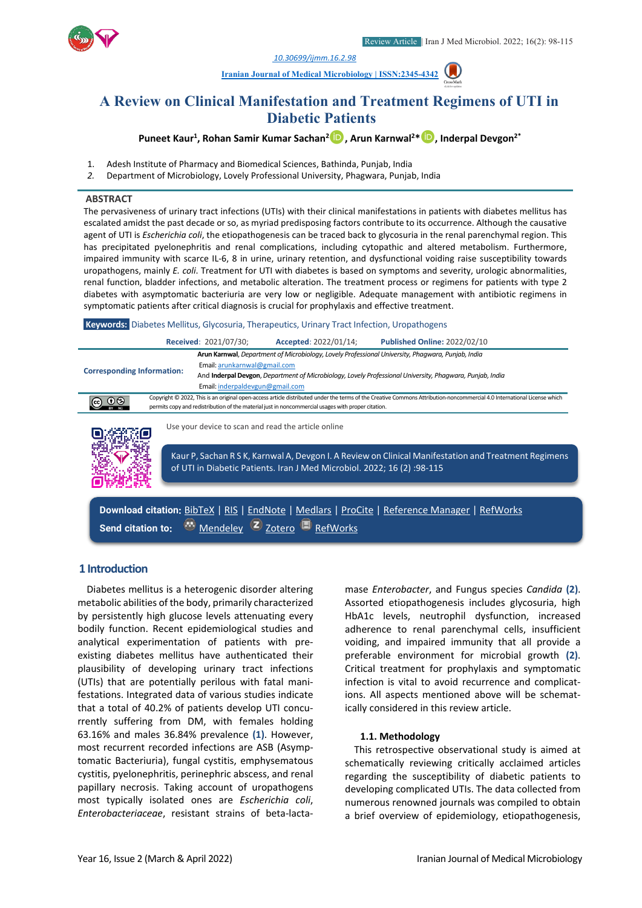*[10.30699/ijmm.16.2.98](http://dx.doi.org/10.30699/ijmm.16.2.98)*





# **A Review on Clinical Manifestation and Treatment Regimens of UTI in Diabetic Patients**

**Puneet Kaur1 , Rohan Samir Kumar Sachan2, Arun Karnwal2 \*, Inderpal Devgon2\***

- 1. Adesh Institute of Pharmacy and Biomedical Sciences, Bathinda, Punjab, India
- *2.* Department of Microbiology, Lovely Professional University, Phagwara, Punjab, India

#### **ABSTRACT**

The pervasiveness of urinary tract infections (UTIs) with their clinical manifestations in patients with diabetes mellitus has escalated amidst the past decade or so, as myriad predisposing factors contribute to its occurrence. Although the causative agent of UTI is *Escherichia coli*, the etiopathogenesis can be traced back to glycosuria in the renal parenchymal region. This has precipitated pyelonephritis and renal complications, including cytopathic and altered metabolism. Furthermore, impaired immunity with scarce IL-6, 8 in urine, urinary retention, and dysfunctional voiding raise susceptibility towards uropathogens, mainly *E. coli*. Treatment for UTI with diabetes is based on symptoms and severity, urologic abnormalities, renal function, bladder infections, and metabolic alteration. The treatment process or regimens for patients with type 2 diabetes with asymptomatic bacteriuria are very low or negligible. Adequate management with antibiotic regimens in symptomatic patients after critical diagnosis is crucial for prophylaxis and effective treatment.

**Keywords:** Diabetes Mellitus, Glycosuria, Therapeutics, Urinary Tract Infection, Uropathogens

|                                   |  | <b>Received: 2021/07/30;</b>    | Accepted: 2022/01/14;                                                                              | <b>Published Online: 2022/02/10</b>                                                                                                                                     |  |  |  |  |
|-----------------------------------|--|---------------------------------|----------------------------------------------------------------------------------------------------|-------------------------------------------------------------------------------------------------------------------------------------------------------------------------|--|--|--|--|
|                                   |  |                                 |                                                                                                    | Arun Karnwal, Department of Microbiology, Lovely Professional University, Phagwara, Punjab, India                                                                       |  |  |  |  |
| <b>Corresponding Information:</b> |  | Email: arunkarnwal@gmail.com    |                                                                                                    |                                                                                                                                                                         |  |  |  |  |
|                                   |  |                                 |                                                                                                    | And Inderpal Devgon, Department of Microbiology, Lovely Professional University, Phagwara, Punjab, India                                                                |  |  |  |  |
|                                   |  | Email: inderpaldevgun@gmail.com |                                                                                                    |                                                                                                                                                                         |  |  |  |  |
|                                   |  |                                 |                                                                                                    | Copyright © 2022, This is an original open-access article distributed under the terms of the Creative Commons Attribution-noncommercial 4.0 International License which |  |  |  |  |
|                                   |  |                                 | permits copy and redistribution of the material just in noncommercial usages with proper citation. |                                                                                                                                                                         |  |  |  |  |
|                                   |  |                                 | Use your device to scan and read the article online                                                |                                                                                                                                                                         |  |  |  |  |
|                                   |  |                                 |                                                                                                    | Kaur P, Sachan R S K, Karnwal A, Devgon I. A Review on Clinical Manifestation and Treatment Regimens                                                                    |  |  |  |  |

of UTI in Diabetic Patients. Iran J Med Microbiol. 2022; 16 (2) :98-115

**Download citation:** [BibTeX](https://ijmm.ir/web2export.php?a_code=A-10-1666-1&sid=1&slc_lang=en&type=BibTeX) | [RIS](https://ijmm.ir/web2export.php?a_code=A-10-1666-1&sid=1&slc_lang=en&type=ris) | [EndNote](https://ijmm.ir/web2export.php?a_code=A-10-1666-1&sid=1&slc_lang=en&type=EndNote) | [Medlars](https://ijmm.ir/web2export.php?a_code=A-10-1666-1&sid=1&slc_lang=en&type=Medlars) | [ProCite](https://ijmm.ir/web2export.php?a_code=A-10-1666-1&sid=1&slc_lang=en&type=ProCite) | [Reference Manager](https://ijmm.ir/web2export.php?a_code=A-10-1666-1&sid=1&slc_lang=en&type=Reference_Manager) | [RefWorks](https://ijmm.ir/web2export.php?a_code=A-10-1666-1&sid=1&slc_lang=en&type=RefWorks) **Send citation to:**  $\bullet$  [Mendeley](http://www.mendeley.com/import/?url=https://ijmm.ir/article-1-1408-en.html) **Z** [Zotero](https://ijmm.ir/web2export.php?a_code=A-10-1666-1&sid=1&slc_lang=en&type=ris) **D** [RefWorks](http://www.refworks.com/express/ExpressImport.asp?vendor=Iran-J-Med-Microbiol&filter=RefWorks%20Tagged%20Format&encoding=65001&url=http%3A%2F%2Fijmm.ir%2Farticle-1-1408-en.html)

#### **1 Introduction**

Diabetes mellitus is a heterogenic disorder altering metabolic abilities of the body, primarily characterized by persistently high glucose levels attenuating every bodily function. Recent epidemiological studies and analytical experimentation of patients with preexisting diabetes mellitus have authenticated their plausibility of developing urinary tract infections (UTIs) that are potentially perilous with fatal manifestations. Integrated data of various studies indicate that a total of 40.2% of patients develop UTI concurrently suffering from DM, with females holding 63.16% and males 36.84% prevalence **(1)**. However, most recurrent recorded infections are ASB (Asymptomatic Bacteriuria), fungal cystitis, emphysematous cystitis, pyelonephritis, perinephric abscess, and renal papillary necrosis. Taking account of uropathogens most typically isolated ones are *Escherichia coli*, *Enterobacteriaceae*, resistant strains of beta-lactamase *Enterobacter*, and Fungus species *Candida* **(2)**. Assorted etiopathogenesis includes glycosuria, high HbA1c levels, neutrophil dysfunction, increased adherence to renal parenchymal cells, insufficient voiding, and impaired immunity that all provide a preferable environment for microbial growth **(2)**. Critical treatment for prophylaxis and symptomatic infection is vital to avoid recurrence and complications. All aspects mentioned above will be schematically considered in this review article.

#### **1.1. Methodology**

This retrospective observational study is aimed at schematically reviewing critically acclaimed articles regarding the susceptibility of diabetic patients to developing complicated UTIs. The data collected from numerous renowned journals was compiled to obtain a brief overview of epidemiology, etiopathogenesis,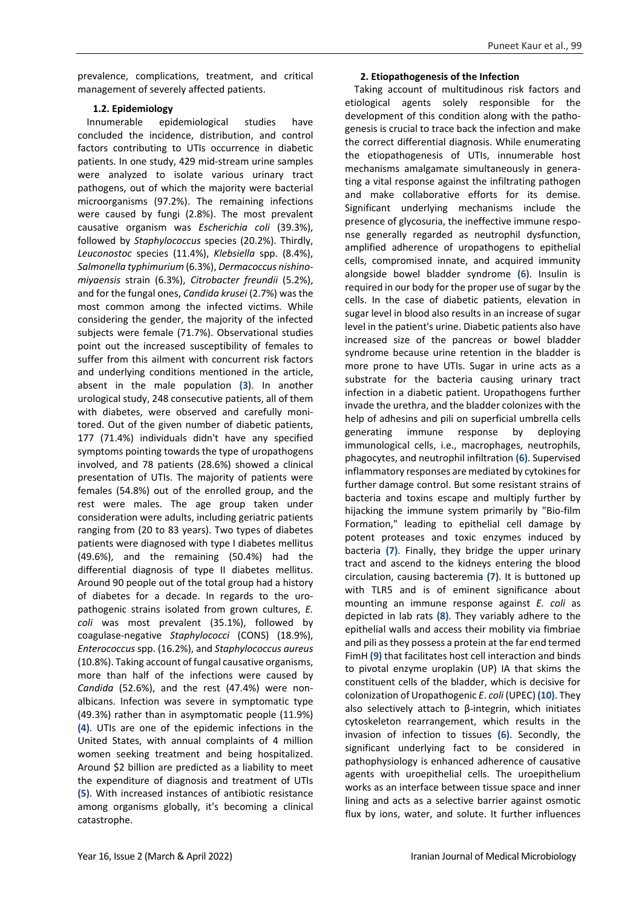prevalence, complications, treatment, and critical management of severely affected patients.

# **1.2. Epidemiology**

Innumerable epidemiological studies have concluded the incidence, distribution, and control factors contributing to UTIs occurrence in diabetic patients. In one study, 429 mid-stream urine samples were analyzed to isolate various urinary tract pathogens, out of which the majority were bacterial microorganisms (97.2%). The remaining infections were caused by fungi (2.8%). The most prevalent causative organism was *Escherichia coli* (39.3%), followed by *Staphylococcus* species (20.2%). Thirdly, *Leuconostoc* species (11.4%), *Klebsiella* spp. (8.4%), *Salmonella typhimurium* (6.3%), *Dermacoccus nishinomiyaensis* strain (6.3%), *Citrobacter freundii* (5.2%), and for the fungal ones, *Candida krusei* (2.7%) was the most common among the infected victims. While considering the gender, the majority of the infected subjects were female (71.7%). Observational studies point out the increased susceptibility of females to suffer from this ailment with concurrent risk factors and underlying conditions mentioned in the article, absent in the male population **(3)**. In another urological study, 248 consecutive patients, all of them with diabetes, were observed and carefully monitored. Out of the given number of diabetic patients, 177 (71.4%) individuals didn't have any specified symptoms pointing towards the type of uropathogens involved, and 78 patients (28.6%) showed a clinical presentation of UTIs. The majority of patients were females (54.8%) out of the enrolled group, and the rest were males. The age group taken under consideration were adults, including geriatric patients ranging from (20 to 83 years). Two types of diabetes patients were diagnosed with type I diabetes mellitus (49.6%), and the remaining (50.4%) had the differential diagnosis of type II diabetes mellitus. Around 90 people out of the total group had a history of diabetes for a decade. In regards to the uropathogenic strains isolated from grown cultures, *E. coli* was most prevalent (35.1%), followed by coagulase-negative *Staphylococci* (CONS) (18.9%), *Enterococcus* spp. (16.2%), and *Staphylococcus aureus* (10.8%). Taking account of fungal causative organisms, more than half of the infections were caused by *Candida* (52.6%), and the rest (47.4%) were nonalbicans. Infection was severe in symptomatic type (49.3%) rather than in asymptomatic people (11.9%) **(4)**. UTIs are one of the epidemic infections in the United States, with annual complaints of 4 million women seeking treatment and being hospitalized. Around \$2 billion are predicted as a liability to meet the expenditure of diagnosis and treatment of UTIs **(5)**. With increased instances of antibiotic resistance among organisms globally, it's becoming a clinical catastrophe.

# **2. Etiopathogenesis of the Infection**

Taking account of multitudinous risk factors and etiological agents solely responsible for the development of this condition along with the pathogenesis is crucial to trace back the infection and make the correct differential diagnosis. While enumerating the etiopathogenesis of UTIs, innumerable host mechanisms amalgamate simultaneously in generating a vital response against the infiltrating pathogen and make collaborative efforts for its demise. Significant underlying mechanisms include the presence of glycosuria, the ineffective immune response generally regarded as neutrophil dysfunction, amplified adherence of uropathogens to epithelial cells, compromised innate, and acquired immunity alongside bowel bladder syndrome **(6)**. Insulin is required in our body for the proper use of sugar by the cells. In the case of diabetic patients, elevation in sugar level in blood also results in an increase of sugar level in the patient's urine. Diabetic patients also have increased size of the pancreas or bowel bladder syndrome because urine retention in the bladder is more prone to have UTIs. Sugar in urine acts as a substrate for the bacteria causing urinary tract infection in a diabetic patient. Uropathogens further invade the urethra, and the bladder colonizes with the help of adhesins and pili on superficial umbrella cells generating immune response by deploying immunological cells, i.e., macrophages, neutrophils, phagocytes, and neutrophil infiltration **(6)**. Supervised inflammatory responses are mediated by cytokines for further damage control. But some resistant strains of bacteria and toxins escape and multiply further by hijacking the immune system primarily by "Bio-film Formation," leading to epithelial cell damage by potent proteases and toxic enzymes induced by bacteria **(7)**. Finally, they bridge the upper urinary tract and ascend to the kidneys entering the blood circulation, causing bacteremia **(7)**. It is buttoned up with TLR5 and is of eminent significance about mounting an immune response against *E. coli* as depicted in lab rats **(8)**. They variably adhere to the epithelial walls and access their mobility via fimbriae and pili as they possess a protein at the far end termed FimH **(9)** that facilitates host cell interaction and binds to pivotal enzyme uroplakin (UP) IA that skims the constituent cells of the bladder, which is decisive for colonization of Uropathogenic *E*. *coli* (UPEC) **(10)**. They also selectively attach to β-integrin, which initiates cytoskeleton rearrangement, which results in the invasion of infection to tissues **(6)**. Secondly, the significant underlying fact to be considered in pathophysiology is enhanced adherence of causative agents with uroepithelial cells. The uroepithelium works as an interface between tissue space and inner lining and acts as a selective barrier against osmotic flux by ions, water, and solute. It further influences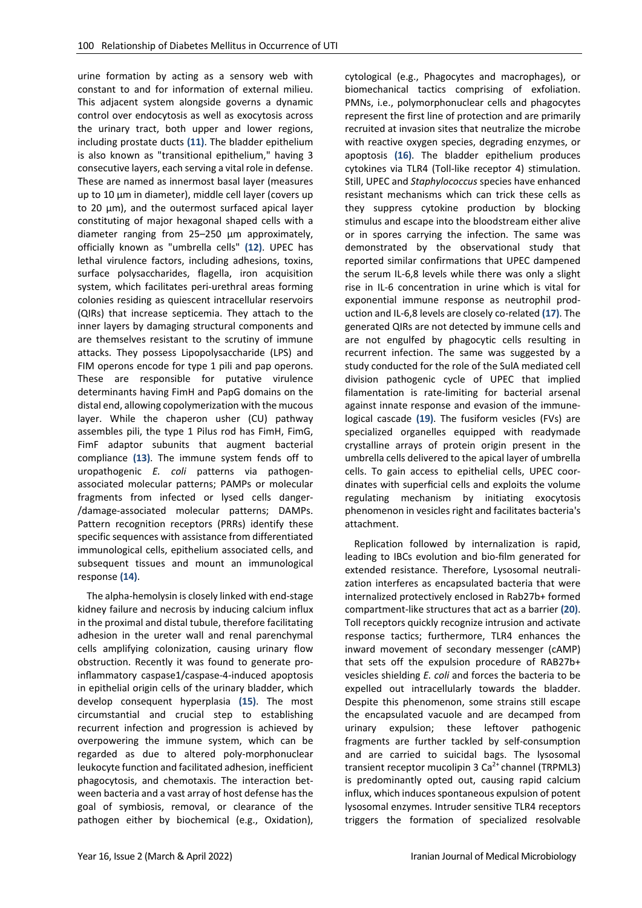urine formation by acting as a sensory web with constant to and for information of external milieu. This adjacent system alongside governs a dynamic control over endocytosis as well as exocytosis across the urinary tract, both upper and lower regions, including prostate ducts **(11)**. The bladder epithelium is also known as "transitional epithelium," having 3 consecutive layers, each serving a vital role in defense. These are named as innermost basal layer (measures up to 10 µm in diameter), middle cell layer (covers up to 20 µm), and the outermost surfaced apical layer constituting of major hexagonal shaped cells with a diameter ranging from 25–250 µm approximately, officially known as "umbrella cells" **(12)**. UPEC has lethal virulence factors, including adhesions, toxins, surface polysaccharides, flagella, iron acquisition system, which facilitates peri-urethral areas forming colonies residing as quiescent intracellular reservoirs (QIRs) that increase septicemia. They attach to the inner layers by damaging structural components and are themselves resistant to the scrutiny of immune attacks. They possess Lipopolysaccharide (LPS) and FIM operons encode for type 1 pili and pap operons. These are responsible for putative virulence determinants having FimH and PapG domains on the distal end, allowing copolymerization with the mucous layer. While the chaperon usher (CU) pathway assembles pili, the type 1 Pilus rod has FimH, FimG, FimF adaptor subunits that augment bacterial compliance **(13)**. The immune system fends off to uropathogenic *E. coli* patterns via pathogenassociated molecular patterns; PAMPs or molecular fragments from infected or lysed cells danger- /damage-associated molecular patterns; DAMPs. Pattern recognition receptors (PRRs) identify these specific sequences with assistance from differentiated immunological cells, epithelium associated cells, and subsequent tissues and mount an immunological response **(14)**.

The alpha-hemolysin is closely linked with end-stage kidney failure and necrosis by inducing calcium influx in the proximal and distal tubule, therefore facilitating adhesion in the ureter wall and renal parenchymal cells amplifying colonization, causing urinary flow obstruction. Recently it was found to generate proinflammatory caspase1/caspase-4-induced apoptosis in epithelial origin cells of the urinary bladder, which develop consequent hyperplasia **(15)**. The most circumstantial and crucial step to establishing recurrent infection and progression is achieved by overpowering the immune system, which can be regarded as due to altered poly-morphonuclear leukocyte function and facilitated adhesion, inefficient phagocytosis, and chemotaxis. The interaction between bacteria and a vast array of host defense has the goal of symbiosis, removal, or clearance of the pathogen either by biochemical (e.g., Oxidation),

cytological (e.g., Phagocytes and macrophages), or biomechanical tactics comprising of exfoliation. PMNs, i.e., polymorphonuclear cells and phagocytes represent the first line of protection and are primarily recruited at invasion sites that neutralize the microbe with reactive oxygen species, degrading enzymes, or apoptosis **(16)**. The bladder epithelium produces cytokines via TLR4 (Toll-like receptor 4) stimulation. Still, UPEC and *Staphylococcus* species have enhanced resistant mechanisms which can trick these cells as they suppress cytokine production by blocking stimulus and escape into the bloodstream either alive or in spores carrying the infection. The same was demonstrated by the observational study that reported similar confirmations that UPEC dampened the serum IL-6,8 levels while there was only a slight rise in IL-6 concentration in urine which is vital for exponential immune response as neutrophil production and IL-6,8 levels are closely co-related **(17)**. The generated QIRs are not detected by immune cells and are not engulfed by phagocytic cells resulting in recurrent infection. The same was suggested by a study conducted for the role of the SulA mediated cell division pathogenic cycle of UPEC that implied filamentation is rate-limiting for bacterial arsenal against innate response and evasion of the immunelogical cascade **(19)**. The fusiform vesicles (FVs) are specialized organelles equipped with readymade crystalline arrays of protein origin present in the umbrella cells delivered to the apical layer of umbrella cells. To gain access to epithelial cells, UPEC coordinates with superficial cells and exploits the volume regulating mechanism by initiating exocytosis phenomenon in vesicles right and facilitates bacteria's attachment.

Replication followed by internalization is rapid, leading to IBCs evolution and bio-film generated for extended resistance. Therefore, Lysosomal neutralization interferes as encapsulated bacteria that were internalized protectively enclosed in Rab27b+ formed compartment-like structures that act as a barrier **(20)**. Toll receptors quickly recognize intrusion and activate response tactics; furthermore, TLR4 enhances the inward movement of secondary messenger (cAMP) that sets off the expulsion procedure of RAB27b+ vesicles shielding *E. coli* and forces the bacteria to be expelled out intracellularly towards the bladder. Despite this phenomenon, some strains still escape the encapsulated vacuole and are decamped from urinary expulsion; these leftover pathogenic fragments are further tackled by self-consumption and are carried to suicidal bags. The lysosomal transient receptor mucolipin 3  $Ca<sup>2+</sup>$  channel (TRPML3) is predominantly opted out, causing rapid calcium influx, which induces spontaneous expulsion of potent lysosomal enzymes. Intruder sensitive TLR4 receptors triggers the formation of specialized resolvable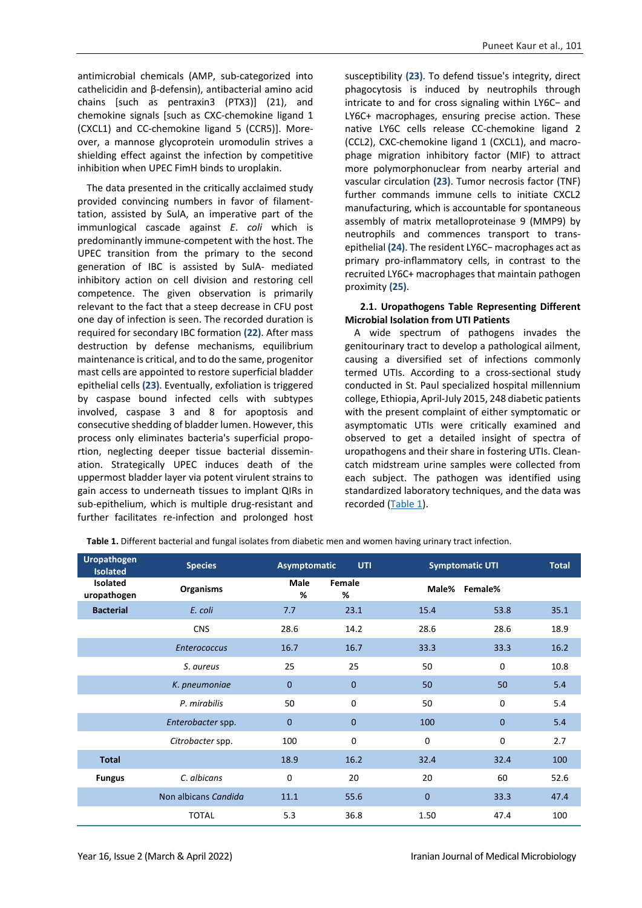antimicrobial chemicals (AMP, sub-categorized into cathelicidin and β-defensin), antibacterial amino acid chains [such as pentraxin3 (PTX3)] (21), and chemokine signals [such as CXC-chemokine ligand 1 (CXCL1) and CC-chemokine ligand 5 (CCR5)]. Moreover, a mannose glycoprotein uromodulin strives a shielding effect against the infection by competitive inhibition when UPEC FimH binds to uroplakin.

The data presented in the critically acclaimed study provided convincing numbers in favor of filamenttation, assisted by SulA, an imperative part of the immunlogical cascade against *E*. *coli* which is predominantly immune-competent with the host. The UPEC transition from the primary to the second generation of IBC is assisted by SulA- mediated inhibitory action on cell division and restoring cell competence. The given observation is primarily relevant to the fact that a steep decrease in CFU post one day of infection is seen. The recorded duration is required for secondary IBC formation **(22)**. After mass destruction by defense mechanisms, equilibrium maintenance is critical, and to do the same, progenitor mast cells are appointed to restore superficial bladder epithelial cells **(23)**. Eventually, exfoliation is triggered by caspase bound infected cells with subtypes involved, caspase 3 and 8 for apoptosis and consecutive shedding of bladder lumen. However, this process only eliminates bacteria's superficial proportion, neglecting deeper tissue bacterial dissemination. Strategically UPEC induces death of the uppermost bladder layer via potent virulent strains to gain access to underneath tissues to implant QIRs in sub-epithelium, which is multiple drug-resistant and further facilitates re-infection and prolonged host susceptibility **(23)**. To defend tissue's integrity, direct phagocytosis is induced by neutrophils through intricate to and for cross signaling within LY6C− and LY6C+ macrophages, ensuring precise action. These native LY6C cells release CC-chemokine ligand 2 (CCL2), CXC-chemokine ligand 1 (CXCL1), and macrophage migration inhibitory factor (MIF) to attract more polymorphonuclear from nearby arterial and vascular circulation **(23)**. Tumor necrosis factor (TNF) further commands immune cells to initiate CXCL2 manufacturing, which is accountable for spontaneous assembly of matrix metalloproteinase 9 (MMP9) by neutrophils and commences transport to transepithelial **(24)**. The resident LY6C− macrophages act as primary pro-inflammatory cells, in contrast to the recruited LY6C+ macrophages that maintain pathogen proximity **(25)**.

#### **2.1. Uropathogens Table Representing Different Microbial Isolation from UTI Patients**

A wide spectrum of pathogens invades the genitourinary tract to develop a pathological ailment, causing a diversified set of infections commonly termed UTIs. According to a cross-sectional study conducted in St. Paul specialized hospital millennium college, Ethiopia, April-July 2015, 248 diabetic patients with the present complaint of either symptomatic or asymptomatic UTIs were critically examined and observed to get a detailed insight of spectra of uropathogens and their share in fostering UTIs. Cleancatch midstream urine samples were collected from each subject. The pathogen was identified using standardized laboratory techniques, and the data was recorded  $(Table 1)$ .

| <b>Uropathogen</b><br><b>Isolated</b> | <b>Species</b>       | Asymptomatic     | <b>UTI</b>   | <b>Symptomatic UTI</b> |             | <b>Total</b> |
|---------------------------------------|----------------------|------------------|--------------|------------------------|-------------|--------------|
| Isolated<br>uropathogen               | <b>Organisms</b>     | <b>Male</b><br>% | Female<br>%  | Male%                  | Female%     |              |
| <b>Bacterial</b>                      | E. coli              | 7.7              | 23.1         | 15.4                   | 53.8        | 35.1         |
|                                       | <b>CNS</b>           | 28.6             | 14.2         | 28.6                   | 28.6        | 18.9         |
|                                       | <b>Enterococcus</b>  | 16.7             | 16.7         | 33.3                   | 33.3        | 16.2         |
|                                       | S. aureus            | 25               | 25           | 50                     | 0           | 10.8         |
|                                       | K. pneumoniae        | $\mathbf{0}$     | $\mathbf{0}$ | 50                     | 50          | 5.4          |
|                                       | P. mirabilis         | 50               | $\mathbf 0$  | 50                     | 0           | 5.4          |
|                                       | Enterobacter spp.    | 0                | 0            | 100                    | $\mathbf 0$ | 5.4          |
|                                       | Citrobacter spp.     | 100              | $\mathbf 0$  | $\mathbf 0$            | 0           | 2.7          |
| <b>Total</b>                          |                      | 18.9             | 16.2         | 32.4                   | 32.4        | 100          |
| <b>Fungus</b>                         | C. albicans          | 0                | 20           | 20                     | 60          | 52.6         |
|                                       | Non albicans Candida | 11.1             | 55.6         | $\mathbf{0}$           | 33.3        | 47.4         |
|                                       | <b>TOTAL</b>         | 5.3              | 36.8         | 1.50                   | 47.4        | 100          |

<span id="page-3-0"></span>**Table 1.** Different bacterial and fungal isolates from diabetic men and women having urinary tract infection.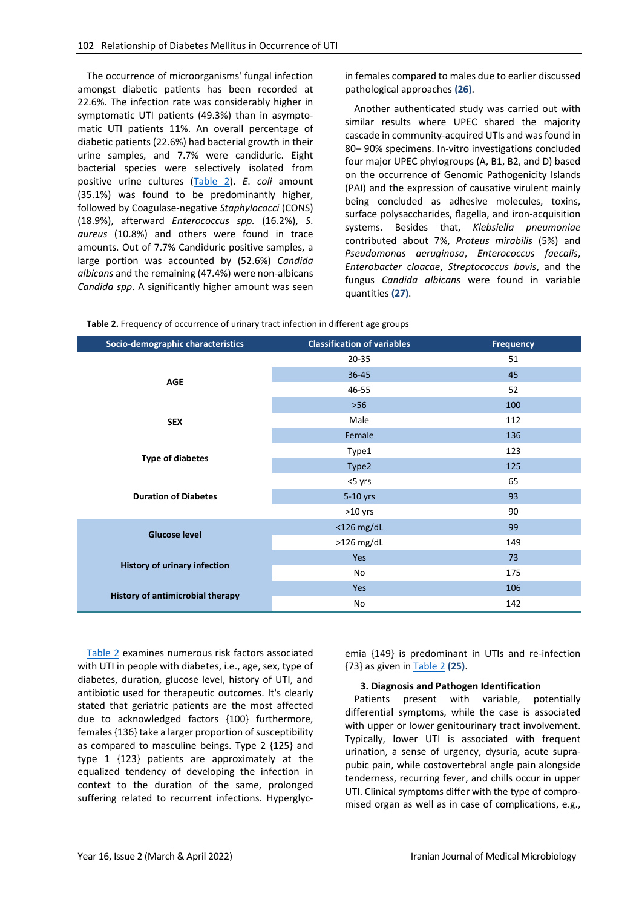The occurrence of microorganisms' fungal infection amongst diabetic patients has been recorded at 22.6%. The infection rate was considerably higher in symptomatic UTI patients (49.3%) than in asymptomatic UTI patients 11%. An overall percentage of diabetic patients (22.6%) had bacterial growth in their urine samples, and 7.7% were candiduric. Eight bacterial species were selectively isolated from positive urine cultures [\(Table 2\)](#page-4-0). *E*. *coli* amount (35.1%) was found to be predominantly higher, followed by Coagulase-negative *Staphylococci* (CONS) (18.9%), afterward *Enterococcus spp.* (16.2%), *S*. *aureus* (10.8%) and others were found in trace amounts. Out of 7.7% Candiduric positive samples, a large portion was accounted by (52.6%) *Candida albicans* and the remaining (47.4%) were non-albicans *Candida spp*. A significantly higher amount was seen

in females compared to males due to earlier discussed pathological approaches **(26)**.

Another authenticated study was carried out with similar results where UPEC shared the majority cascade in community-acquired UTIs and was found in 80– 90% specimens. In-vitro investigations concluded four major UPEC phylogroups (A, B1, B2, and D) based on the occurrence of Genomic Pathogenicity Islands (PAI) and the expression of causative virulent mainly being concluded as adhesive molecules, toxins, surface polysaccharides, flagella, and iron-acquisition systems. Besides that, *Klebsiella pneumoniae*  contributed about 7%, *Proteus mirabilis* (5%) and *Pseudomonas aeruginosa*, *Enterococcus faecalis*, *Enterobacter cloacae*, *Streptococcus bovis*, and the fungus *Candida albicans* were found in variable quantities **(27)**.

<span id="page-4-0"></span>

| Table 2. Frequency of occurrence of urinary tract infection in different age groups |  |
|-------------------------------------------------------------------------------------|--|
|-------------------------------------------------------------------------------------|--|

| Socio-demographic characteristics       | <b>Classification of variables</b> | <b>Frequency</b> |
|-----------------------------------------|------------------------------------|------------------|
|                                         | 20-35                              | 51               |
| <b>AGE</b>                              | $36 - 45$                          | 45               |
|                                         | 46-55                              | 52               |
|                                         | $>56$                              | 100              |
| <b>SEX</b>                              | Male                               | 112              |
|                                         | Female                             | 136              |
|                                         | Type1                              | 123              |
| <b>Type of diabetes</b>                 | Type2                              | 125              |
|                                         | <5 yrs                             | 65               |
| <b>Duration of Diabetes</b>             | 5-10 yrs                           | 93               |
|                                         | $>10$ yrs                          | 90               |
| <b>Glucose level</b>                    | $<$ 126 mg/dL                      | 99               |
|                                         | $>126$ mg/dL                       | 149              |
|                                         | Yes                                | 73               |
| <b>History of urinary infection</b>     | No                                 | 175              |
| <b>History of antimicrobial therapy</b> | Yes                                | 106              |
|                                         | No                                 | 142              |

[Table 2](#page-4-0) examines numerous risk factors associated with UTI in people with diabetes, i.e., age, sex, type of diabetes, duration, glucose level, history of UTI, and antibiotic used for therapeutic outcomes. It's clearly stated that geriatric patients are the most affected due to acknowledged factors {100} furthermore, females {136} take a larger proportion of susceptibility as compared to masculine beings. Type 2 {125} and type 1 {123} patients are approximately at the equalized tendency of developing the infection in context to the duration of the same, prolonged suffering related to recurrent infections. Hyperglycemia {149} is predominant in UTIs and re-infection {73} as given i[n Table 2](#page-4-0) **(25)**.

#### **3. Diagnosis and Pathogen Identification**

Patients present with variable, potentially differential symptoms, while the case is associated with upper or lower genitourinary tract involvement. Typically, lower UTI is associated with frequent urination, a sense of urgency, dysuria, acute suprapubic pain, while costovertebral angle pain alongside tenderness, recurring fever, and chills occur in upper UTI. Clinical symptoms differ with the type of compromised organ as well as in case of complications, e.g.,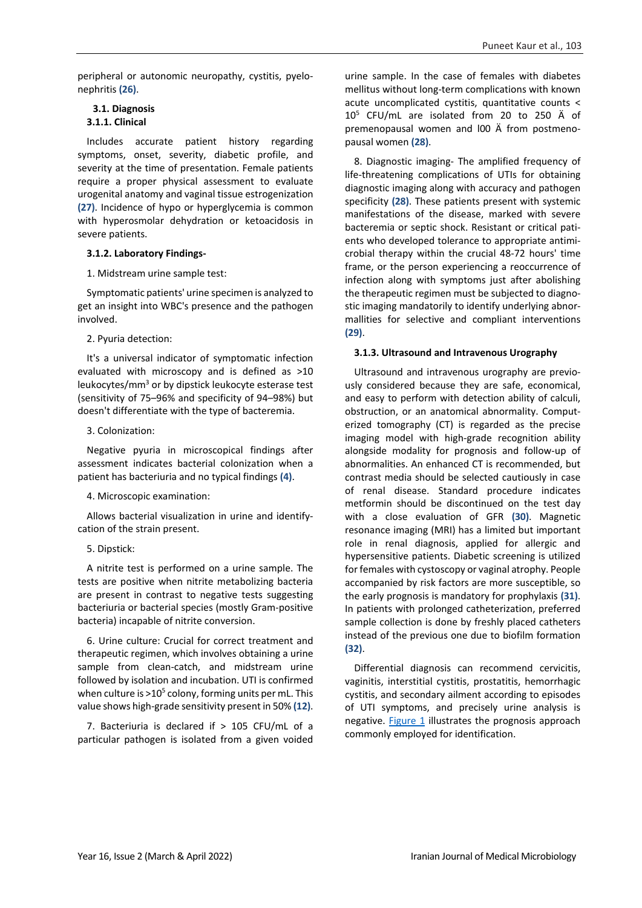peripheral or autonomic neuropathy, cystitis, pyelonephritis **(26)**.

### **3.1. Diagnosis 3.1.1. Clinical**

Includes accurate patient history regarding symptoms, onset, severity, diabetic profile, and severity at the time of presentation. Female patients require a proper physical assessment to evaluate urogenital anatomy and vaginal tissue estrogenization **(27)**. Incidence of hypo or hyperglycemia is common with hyperosmolar dehydration or ketoacidosis in severe patients.

### **3.1.2. Laboratory Findings-**

1. Midstream urine sample test:

Symptomatic patients' urine specimen is analyzed to get an insight into WBC's presence and the pathogen involved.

#### 2. Pyuria detection:

It's a universal indicator of symptomatic infection evaluated with microscopy and is defined as >10 leukocytes/mm3 or by dipstick leukocyte esterase test (sensitivity of 75–96% and specificity of 94–98%) but doesn't differentiate with the type of bacteremia.

#### 3. Colonization:

Negative pyuria in microscopical findings after assessment indicates bacterial colonization when a patient has bacteriuria and no typical findings **(4)**.

#### 4. Microscopic examination:

Allows bacterial visualization in urine and identifycation of the strain present.

### 5. Dipstick:

A nitrite test is performed on a urine sample. The tests are positive when nitrite metabolizing bacteria are present in contrast to negative tests suggesting bacteriuria or bacterial species (mostly Gram-positive bacteria) incapable of nitrite conversion.

6. Urine culture: Crucial for correct treatment and therapeutic regimen, which involves obtaining a urine sample from clean-catch, and midstream urine followed by isolation and incubation. UTI is confirmed when culture is  $>10^5$  colony, forming units per mL. This value shows high-grade sensitivity present in 50% **(12)**.

7. Bacteriuria is declared if > 105 CFU/mL of a particular pathogen is isolated from a given voided urine sample. In the case of females with diabetes mellitus without long-term complications with known acute uncomplicated cystitis, quantitative counts < 105 CFU/mL are isolated from 20 to 250 Ä of premenopausal women and l00 Ä from postmenopausal women **(28)**.

8. Diagnostic imaging- The amplified frequency of life-threatening complications of UTIs for obtaining diagnostic imaging along with accuracy and pathogen specificity **(28)**. These patients present with systemic manifestations of the disease, marked with severe bacteremia or septic shock. Resistant or critical patients who developed tolerance to appropriate antimicrobial therapy within the crucial 48-72 hours' time frame, or the person experiencing a reoccurrence of infection along with symptoms just after abolishing the therapeutic regimen must be subjected to diagnostic imaging mandatorily to identify underlying abnormallities for selective and compliant interventions **(29)**.

#### **3.1.3. Ultrasound and Intravenous Urography**

Ultrasound and intravenous urography are previously considered because they are safe, economical, and easy to perform with detection ability of calculi, obstruction, or an anatomical abnormality. Computerized tomography (CT) is regarded as the precise imaging model with high-grade recognition ability alongside modality for prognosis and follow-up of abnormalities. An enhanced CT is recommended, but contrast media should be selected cautiously in case of renal disease. Standard procedure indicates metformin should be discontinued on the test day with a close evaluation of GFR **(30)**. Magnetic resonance imaging (MRI) has a limited but important role in renal diagnosis, applied for allergic and hypersensitive patients. Diabetic screening is utilized for females with cystoscopy or vaginal atrophy. People accompanied by risk factors are more susceptible, so the early prognosis is mandatory for prophylaxis **(31)**. In patients with prolonged catheterization, preferred sample collection is done by freshly placed catheters instead of the previous one due to biofilm formation **(32)**.

Differential diagnosis can recommend cervicitis, vaginitis, interstitial cystitis, prostatitis, hemorrhagic cystitis, and secondary ailment according to episodes of UTI symptoms, and precisely urine analysis is negative. [Figure 1](#page-6-0) illustrates the prognosis approach commonly employed for identification.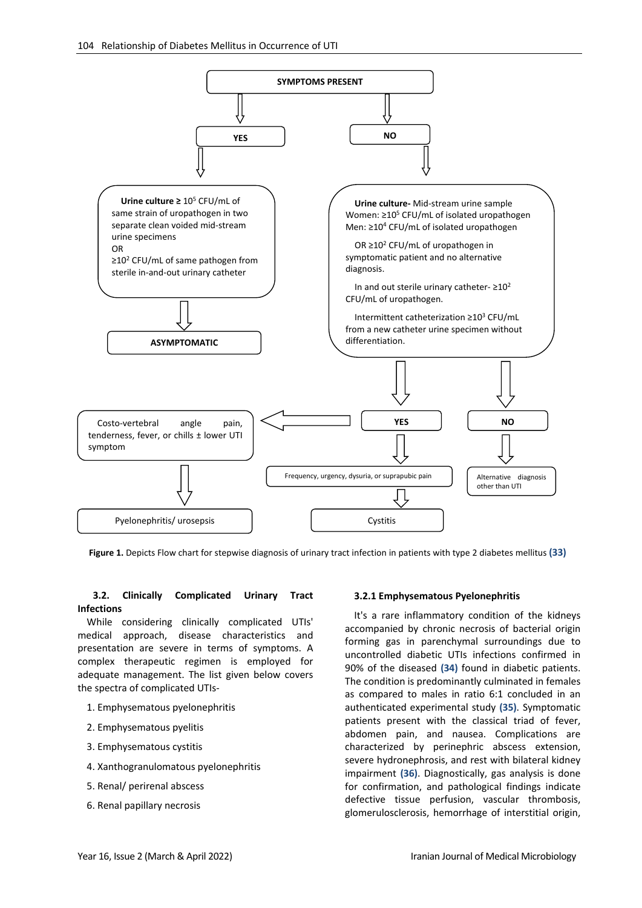

<span id="page-6-0"></span>**Figure 1.** Depicts Flow chart for stepwise diagnosis of urinary tract infection in patients with type 2 diabetes mellitus **(33)**

# **3.2. Clinically Complicated Urinary Tract Infections**

While considering clinically complicated UTIs' medical approach, disease characteristics and presentation are severe in terms of symptoms. A complex therapeutic regimen is employed for adequate management. The list given below covers the spectra of complicated UTIs-

- 1. Emphysematous pyelonephritis
- 2. Emphysematous pyelitis
- 3. Emphysematous cystitis
- 4. Xanthogranulomatous pyelonephritis
- 5. Renal/ perirenal abscess
- 6. Renal papillary necrosis

# **3.2.1 Emphysematous Pyelonephritis**

It's a rare inflammatory condition of the kidneys accompanied by chronic necrosis of bacterial origin forming gas in parenchymal surroundings due to uncontrolled diabetic UTIs infections confirmed in 90% of the diseased **(34)** found in diabetic patients. The condition is predominantly culminated in females as compared to males in ratio 6:1 concluded in an authenticated experimental study **(35)**. Symptomatic patients present with the classical triad of fever, abdomen pain, and nausea. Complications are characterized by perinephric abscess extension, severe hydronephrosis, and rest with bilateral kidney impairment **(36)**. Diagnostically, gas analysis is done for confirmation, and pathological findings indicate defective tissue perfusion, vascular thrombosis, glomerulosclerosis, hemorrhage of interstitial origin,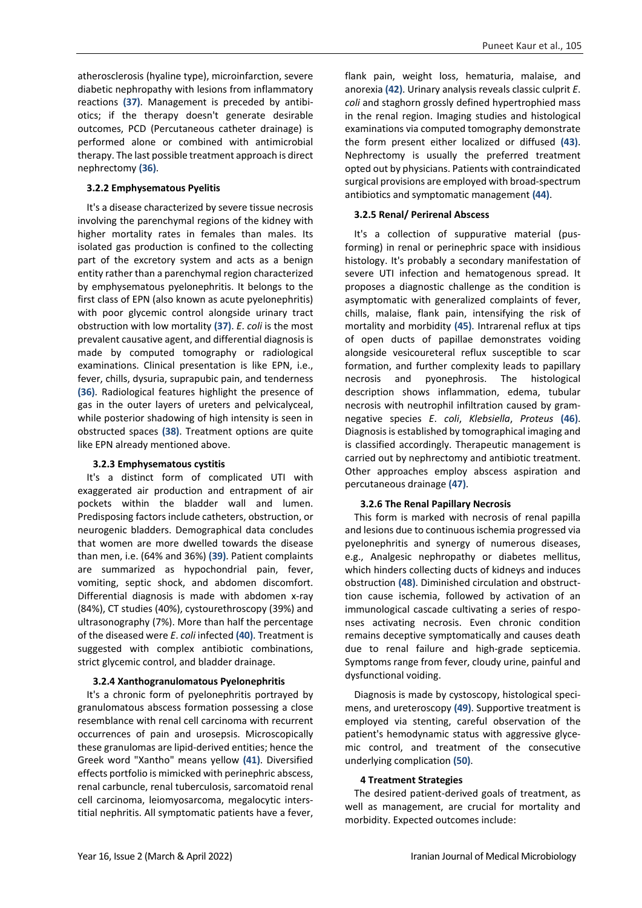atherosclerosis (hyaline type), microinfarction, severe diabetic nephropathy with lesions from inflammatory reactions **(37)**. Management is preceded by antibiotics; if the therapy doesn't generate desirable outcomes, PCD (Percutaneous catheter drainage) is performed alone or combined with antimicrobial therapy. The last possible treatment approach is direct nephrectomy **(36)**.

#### **3.2.2 Emphysematous Pyelitis**

It's a disease characterized by severe tissue necrosis involving the parenchymal regions of the kidney with higher mortality rates in females than males. Its isolated gas production is confined to the collecting part of the excretory system and acts as a benign entity rather than a parenchymal region characterized by emphysematous pyelonephritis. It belongs to the first class of EPN (also known as acute pyelonephritis) with poor glycemic control alongside urinary tract obstruction with low mortality **(37)**. *E*. *coli* is the most prevalent causative agent, and differential diagnosis is made by computed tomography or radiological examinations. Clinical presentation is like EPN, i.e., fever, chills, dysuria, suprapubic pain, and tenderness **(36)**. Radiological features highlight the presence of gas in the outer layers of ureters and pelvicalyceal, while posterior shadowing of high intensity is seen in obstructed spaces **(38)**. Treatment options are quite like EPN already mentioned above.

#### **3.2.3 Emphysematous cystitis**

It's a distinct form of complicated UTI with exaggerated air production and entrapment of air pockets within the bladder wall and lumen. Predisposing factors include catheters, obstruction, or neurogenic bladders. Demographical data concludes that women are more dwelled towards the disease than men, i.e. (64% and 36%) **(39)**. Patient complaints are summarized as hypochondrial pain, fever, vomiting, septic shock, and abdomen discomfort. Differential diagnosis is made with abdomen x-ray (84%), CT studies (40%), cystourethroscopy (39%) and ultrasonography (7%). More than half the percentage of the diseased were *E*. *coli* infected **(40)**. Treatment is suggested with complex antibiotic combinations, strict glycemic control, and bladder drainage.

#### **3.2.4 Xanthogranulomatous Pyelonephritis**

It's a chronic form of pyelonephritis portrayed by granulomatous abscess formation possessing a close resemblance with renal cell carcinoma with recurrent occurrences of pain and urosepsis. Microscopically these granulomas are lipid-derived entities; hence the Greek word "Xantho" means yellow **(41)**. Diversified effects portfolio is mimicked with perinephric abscess, renal carbuncle, renal tuberculosis, sarcomatoid renal cell carcinoma, leiomyosarcoma, megalocytic interstitial nephritis. All symptomatic patients have a fever,

flank pain, weight loss, hematuria, malaise, and anorexia **(42)**. Urinary analysis reveals classic culprit *E*. *coli* and staghorn grossly defined hypertrophied mass in the renal region. Imaging studies and histological examinations via computed tomography demonstrate the form present either localized or diffused **(43)**. Nephrectomy is usually the preferred treatment opted out by physicians. Patients with contraindicated surgical provisions are employed with broad-spectrum antibiotics and symptomatic management **(44)**.

#### **3.2.5 Renal/ Perirenal Abscess**

It's a collection of suppurative material (pusforming) in renal or perinephric space with insidious histology. It's probably a secondary manifestation of severe UTI infection and hematogenous spread. It proposes a diagnostic challenge as the condition is asymptomatic with generalized complaints of fever, chills, malaise, flank pain, intensifying the risk of mortality and morbidity **(45)**. Intrarenal reflux at tips of open ducts of papillae demonstrates voiding alongside vesicoureteral reflux susceptible to scar formation, and further complexity leads to papillary necrosis and pyonephrosis. The histological description shows inflammation, edema, tubular necrosis with neutrophil infiltration caused by gramnegative species *E*. *coli*, *Klebsiella*, *Proteus* **(46)**. Diagnosis is established by tomographical imaging and is classified accordingly. Therapeutic management is carried out by nephrectomy and antibiotic treatment. Other approaches employ abscess aspiration and percutaneous drainage **(47)**.

#### **3.2.6 The Renal Papillary Necrosis**

This form is marked with necrosis of renal papilla and lesions due to continuous ischemia progressed via pyelonephritis and synergy of numerous diseases, e.g., Analgesic nephropathy or diabetes mellitus, which hinders collecting ducts of kidneys and induces obstruction **(48)**. Diminished circulation and obstructtion cause ischemia, followed by activation of an immunological cascade cultivating a series of responses activating necrosis. Even chronic condition remains deceptive symptomatically and causes death due to renal failure and high-grade septicemia. Symptoms range from fever, cloudy urine, painful and dysfunctional voiding.

Diagnosis is made by cystoscopy, histological specimens, and ureteroscopy **(49)**. Supportive treatment is employed via stenting, careful observation of the patient's hemodynamic status with aggressive glycemic control, and treatment of the consecutive underlying complication **(50)**.

#### **4 Treatment Strategies**

The desired patient-derived goals of treatment, as well as management, are crucial for mortality and morbidity. Expected outcomes include: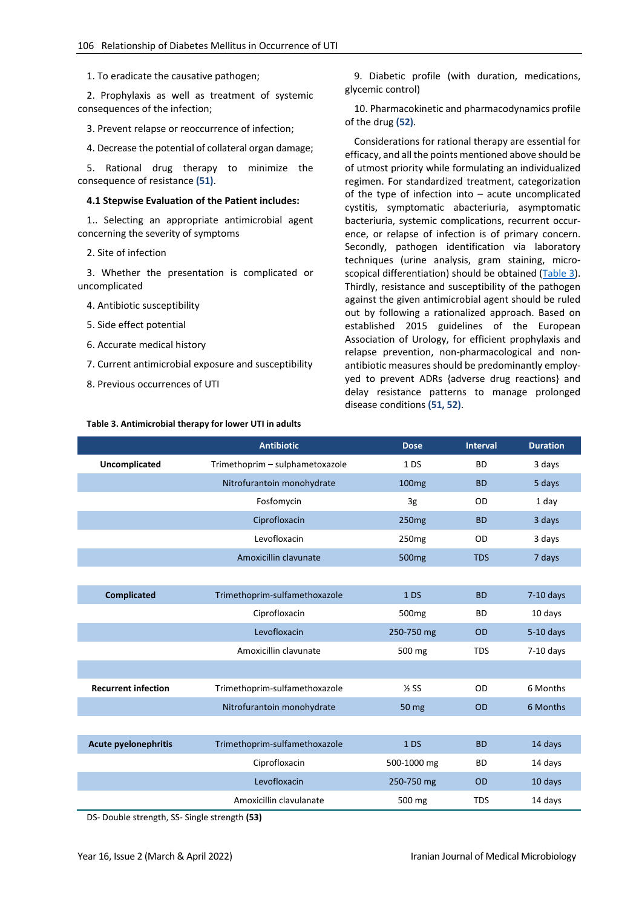1. To eradicate the causative pathogen;

2. Prophylaxis as well as treatment of systemic consequences of the infection;

3. Prevent relapse or reoccurrence of infection;

4. Decrease the potential of collateral organ damage;

5. Rational drug therapy to minimize the consequence of resistance **(51)**.

#### **4.1 Stepwise Evaluation of the Patient includes:**

1.. Selecting an appropriate antimicrobial agent concerning the severity of symptoms

2. Site of infection

3. Whether the presentation is complicated or uncomplicated

- 4. Antibiotic susceptibility
- 5. Side effect potential
- 6. Accurate medical history
- 7. Current antimicrobial exposure and susceptibility
- 8. Previous occurrences of UTI

#### <span id="page-8-0"></span>**Table 3. Antimicrobial therapy for lower UTI in adults**

9. Diabetic profile (with duration, medications, glycemic control)

10. Pharmacokinetic and pharmacodynamics profile of the drug **(52)**.

Considerations for rational therapy are essential for efficacy, and all the points mentioned above should be of utmost priority while formulating an individualized regimen. For standardized treatment, categorization of the type of infection into – acute uncomplicated cystitis, symptomatic abacteriuria, asymptomatic bacteriuria, systemic complications, recurrent occurence, or relapse of infection is of primary concern. Secondly, pathogen identification via laboratory techniques (urine analysis, gram staining, microscopical differentiation) should be obtained [\(Table 3\)](#page-8-0). Thirdly, resistance and susceptibility of the pathogen against the given antimicrobial agent should be ruled out by following a rationalized approach. Based on established 2015 guidelines of the European Association of Urology, for efficient prophylaxis and relapse prevention, non-pharmacological and nonantibiotic measures should be predominantly employyed to prevent ADRs {adverse drug reactions} and delay resistance patterns to manage prolonged disease conditions **(51, 52)**.

|                             | <b>Antibiotic</b>               | <b>Dose</b>       | <b>Interval</b> | <b>Duration</b> |
|-----------------------------|---------------------------------|-------------------|-----------------|-----------------|
| Uncomplicated               | Trimethoprim - sulphametoxazole | 1DS               | <b>BD</b>       | 3 days          |
|                             | Nitrofurantoin monohydrate      | 100 <sub>mg</sub> | <b>BD</b>       | 5 days          |
|                             | Fosfomycin                      | 3g                | OD              | 1 day           |
|                             | Ciprofloxacin                   | 250 <sub>mg</sub> | <b>BD</b>       | 3 days          |
|                             | Levofloxacin                    | 250 <sub>mg</sub> | <b>OD</b>       | 3 days          |
|                             | Amoxicillin clavunate           | 500 <sub>mg</sub> | <b>TDS</b>      | 7 days          |
|                             |                                 |                   |                 |                 |
| <b>Complicated</b>          | Trimethoprim-sulfamethoxazole   | 1DS               | <b>BD</b>       | $7-10$ days     |
|                             | Ciprofloxacin                   | 500 <sub>mg</sub> | <b>BD</b>       | 10 days         |
|                             | Levofloxacin                    | 250-750 mg        | <b>OD</b>       | $5-10$ days     |
|                             | Amoxicillin clavunate           | 500 mg            | <b>TDS</b>      | $7-10$ days     |
|                             |                                 |                   |                 |                 |
| <b>Recurrent infection</b>  | Trimethoprim-sulfamethoxazole   | $\frac{1}{2}$ SS  | <b>OD</b>       | 6 Months        |
|                             | Nitrofurantoin monohydrate      | 50 mg             | <b>OD</b>       | 6 Months        |
|                             |                                 |                   |                 |                 |
| <b>Acute pyelonephritis</b> | Trimethoprim-sulfamethoxazole   | 1 <sub>D</sub>    | <b>BD</b>       | 14 days         |
|                             | Ciprofloxacin                   | 500-1000 mg       | <b>BD</b>       | 14 days         |
|                             | Levofloxacin                    | 250-750 mg        | <b>OD</b>       | 10 days         |
|                             | Amoxicillin clavulanate         | 500 mg            | <b>TDS</b>      | 14 days         |

DS- Double strength, SS- Single strength **(53)**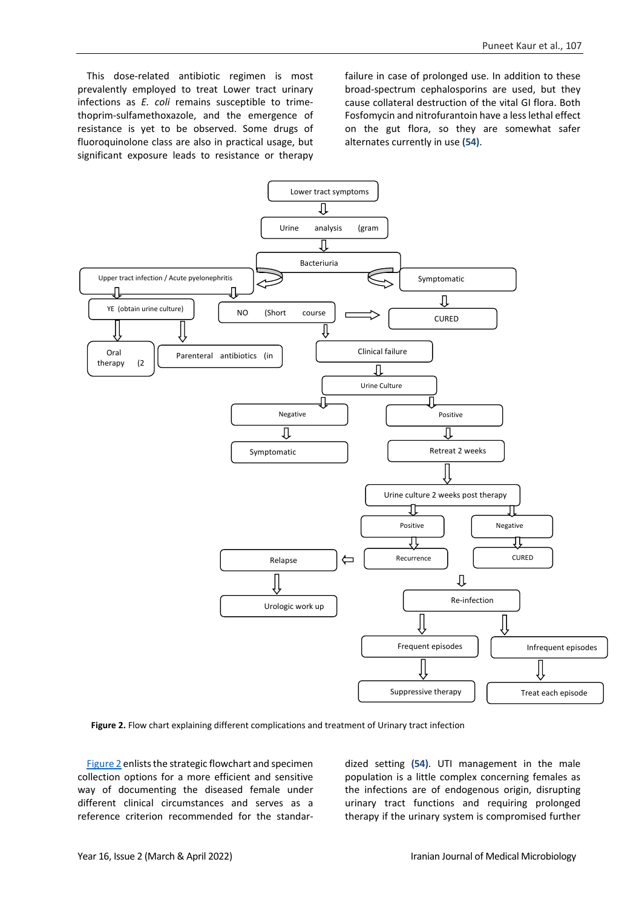This dose-related antibiotic regimen is most prevalently employed to treat Lower tract urinary infections as *E. coli* remains susceptible to trimethoprim-sulfamethoxazole, and the emergence of resistance is yet to be observed. Some drugs of fluoroquinolone class are also in practical usage, but significant exposure leads to resistance or therapy failure in case of prolonged use. In addition to these broad-spectrum cephalosporins are used, but they cause collateral destruction of the vital GI flora. Both Fosfomycin and nitrofurantoin have a less lethal effect on the gut flora, so they are somewhat safer alternates currently in use **(54)**.



<span id="page-9-0"></span> **Figure 2.** Flow chart explaining different complications and treatment of Urinary tract infection

[Figure 2](#page-9-0) enlists the strategic flowchart and specimen collection options for a more efficient and sensitive way of documenting the diseased female under different clinical circumstances and serves as a reference criterion recommended for the standardized setting **(54)**. UTI management in the male population is a little complex concerning females as the infections are of endogenous origin, disrupting urinary tract functions and requiring prolonged therapy if the urinary system is compromised further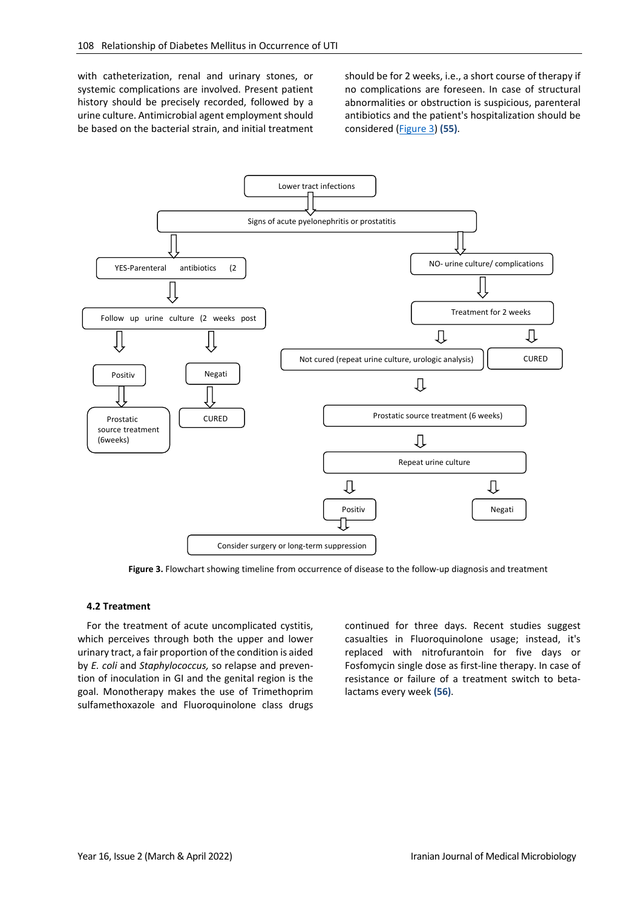with catheterization, renal and urinary stones, or systemic complications are involved. Present patient history should be precisely recorded, followed by a urine culture. Antimicrobial agent employment should be based on the bacterial strain, and initial treatment should be for 2 weeks, i.e., a short course of therapy if no complications are foreseen. In case of structural abnormalities or obstruction is suspicious, parenteral antibiotics and the patient's hospitalization should be considered [\(Figure](#page-10-0) 3) **(55)**.



**Figure 3.** Flowchart showing timeline from occurrence of disease to the follow-up diagnosis and treatment

#### <span id="page-10-0"></span>**4.2 Treatment**

For the treatment of acute uncomplicated cystitis, which perceives through both the upper and lower urinary tract, a fair proportion of the condition is aided by *E. coli* and *Staphylococcus,* so relapse and prevention of inoculation in GI and the genital region is the goal. Monotherapy makes the use of Trimethoprim sulfamethoxazole and Fluoroquinolone class drugs continued for three days. Recent studies suggest casualties in Fluoroquinolone usage; instead, it's replaced with nitrofurantoin for five days or Fosfomycin single dose as first-line therapy. In case of resistance or failure of a treatment switch to betalactams every week **(56)**.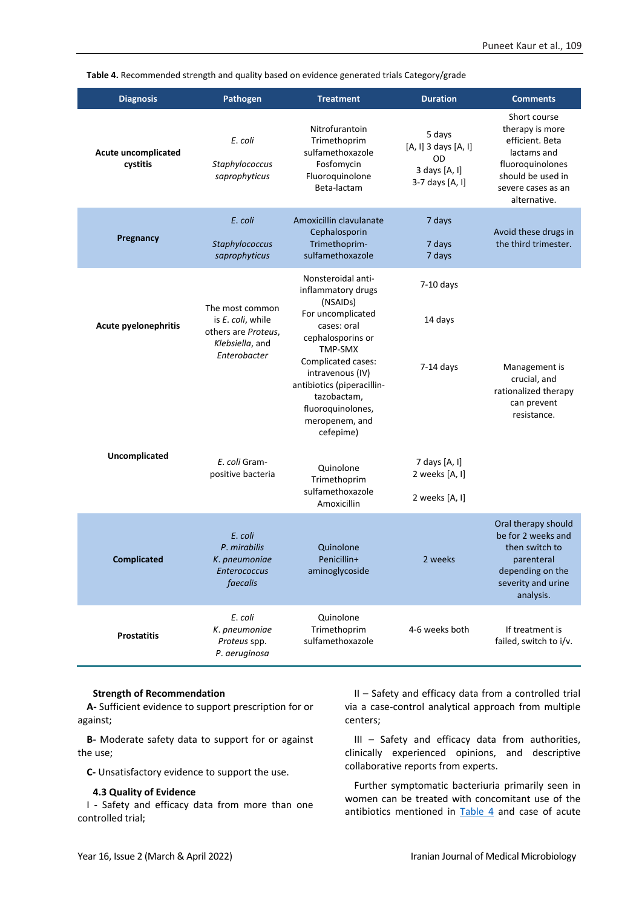<span id="page-11-0"></span>**Table 4.** Recommended strength and quality based on evidence generated trials Category/grade

| <b>Diagnosis</b>                       | <b>Pathogen</b>                                                                                | <b>Treatment</b>                                                                                                                                                                                 | <b>Duration</b>                                                          | <b>Comments</b>                                                                                                                                  |
|----------------------------------------|------------------------------------------------------------------------------------------------|--------------------------------------------------------------------------------------------------------------------------------------------------------------------------------------------------|--------------------------------------------------------------------------|--------------------------------------------------------------------------------------------------------------------------------------------------|
| <b>Acute uncomplicated</b><br>cystitis | E. coli<br>Staphylococcus<br>saprophyticus                                                     | Nitrofurantoin<br>Trimethoprim<br>sulfamethoxazole<br>Fosfomycin<br>Fluoroquinolone<br>Beta-lactam                                                                                               | 5 days<br>[A, I] 3 days [A, I]<br>OD<br>3 days [A, I]<br>3-7 days [A, I] | Short course<br>therapy is more<br>efficient. Beta<br>lactams and<br>fluoroquinolones<br>should be used in<br>severe cases as an<br>alternative. |
| Pregnancy                              | E. coli<br>Staphylococcus<br>saprophyticus                                                     | Amoxicillin clavulanate<br>Cephalosporin<br>Trimethoprim-<br>sulfamethoxazole                                                                                                                    | 7 days<br>7 days<br>7 days                                               | Avoid these drugs in<br>the third trimester.                                                                                                     |
| <b>Acute pyelonephritis</b>            | The most common<br>is E. coli, while<br>others are Proteus,<br>Klebsiella, and<br>Enterobacter | Nonsteroidal anti-<br>inflammatory drugs<br>(NSAIDs)<br>For uncomplicated<br>cases: oral<br>cephalosporins or<br>TMP-SMX<br>Complicated cases:<br>intravenous (IV)<br>antibiotics (piperacillin- | $7-10$ days<br>14 days<br>$7-14$ days                                    | Management is<br>crucial, and<br>rationalized therapy                                                                                            |
| Uncomplicated                          | E. coli Gram-<br>positive bacteria                                                             | tazobactam,<br>fluoroquinolones,<br>meropenem, and<br>cefepime)<br>Quinolone<br>Trimethoprim<br>sulfamethoxazole<br>Amoxicillin                                                                  | 7 days [A, I]<br>2 weeks [A, I]<br>2 weeks [A, I]                        | can prevent<br>resistance.                                                                                                                       |
| <b>Complicated</b>                     | E. coli<br>P. mirabilis<br>K. pneumoniae<br>Enterococcus<br>faecalis                           | Quinolone<br>Penicillin+<br>aminoglycoside                                                                                                                                                       | 2 weeks                                                                  | Oral therapy should<br>be for 2 weeks and<br>then switch to<br>parenteral<br>depending on the<br>severity and urine<br>analysis.                 |
| <b>Prostatitis</b>                     | E. coli<br>K. pneumoniae<br>Proteus spp.<br>P. aeruginosa                                      | Quinolone<br>Trimethoprim<br>sulfamethoxazole                                                                                                                                                    | 4-6 weeks both                                                           | If treatment is<br>failed, switch to i/v.                                                                                                        |

#### **Strength of Recommendation**

**A-** Sufficient evidence to support prescription for or against;

**B-** Moderate safety data to support for or against the use;

**C-** Unsatisfactory evidence to support the use.

#### **4.3 Quality of Evidence**

I - Safety and efficacy data from more than one controlled trial;

II – Safety and efficacy data from a controlled trial via a case-control analytical approach from multiple centers;

III – Safety and efficacy data from authorities, clinically experienced opinions, and descriptive collaborative reports from experts.

Further symptomatic bacteriuria primarily seen in women can be treated with concomitant use of the antibiotics mentioned in [Table 4](#page-11-0) and case of acute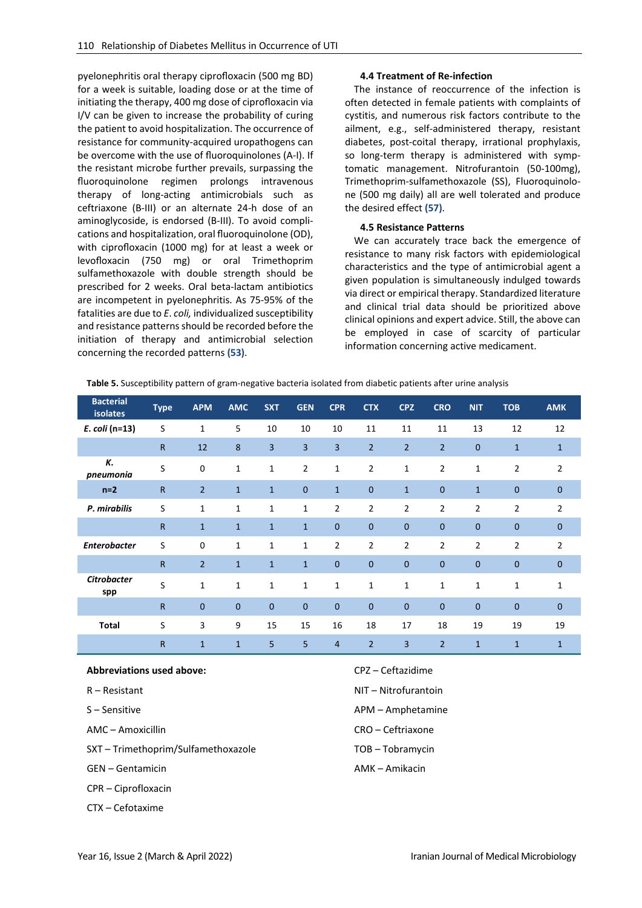pyelonephritis oral therapy ciprofloxacin (500 mg BD) for a week is suitable, loading dose or at the time of initiating the therapy, 400 mg dose of ciprofloxacin via I/V can be given to increase the probability of curing the patient to avoid hospitalization. The occurrence of resistance for community-acquired uropathogens can be overcome with the use of fluoroquinolones (A-I). If the resistant microbe further prevails, surpassing the fluoroquinolone regimen prolongs intravenous therapy of long-acting antimicrobials such as ceftriaxone (B-III) or an alternate 24-h dose of an aminoglycoside, is endorsed (B-III). To avoid complications and hospitalization, oral fluoroquinolone (OD), with ciprofloxacin (1000 mg) for at least a week or levofloxacin (750 mg) or oral Trimethoprim sulfamethoxazole with double strength should be prescribed for 2 weeks. Oral beta-lactam antibiotics are incompetent in pyelonephritis. As 75-95% of the fatalities are due to *E*. *coli,* individualized susceptibility and resistance patterns should be recorded before the initiation of therapy and antimicrobial selection concerning the recorded patterns **(53)**.

### **4.4 Treatment of Re-infection**

The instance of reoccurrence of the infection is often detected in female patients with complaints of cystitis, and numerous risk factors contribute to the ailment, e.g., self-administered therapy, resistant diabetes, post-coital therapy, irrational prophylaxis, so long-term therapy is administered with symptomatic management. Nitrofurantoin (50-100mg), Trimethoprim-sulfamethoxazole (SS), Fluoroquinolone (500 mg daily) all are well tolerated and produce the desired effect **(57)**.

### **4.5 Resistance Patterns**

We can accurately trace back the emergence of resistance to many risk factors with epidemiological characteristics and the type of antimicrobial agent a given population is simultaneously indulged towards via direct or empirical therapy. Standardized literature and clinical trial data should be prioritized above clinical opinions and expert advice. Still, the above can be employed in case of scarcity of particular information concerning active medicament.

<span id="page-12-0"></span>**Table 5.** Susceptibility pattern of gram-negative bacteria isolated from diabetic patients after urine analysis

| <b>Bacterial</b><br><b>isolates</b> | <b>Type</b>  | <b>APM</b>     | <b>AMC</b>   | <b>SXT</b>   | <b>GEN</b>     | <b>CPR</b>     | <b>CTX</b>     | <b>CPZ</b>     | <b>CRO</b>     | <b>NIT</b>     | <b>TOB</b>     | <b>AMK</b>     |
|-------------------------------------|--------------|----------------|--------------|--------------|----------------|----------------|----------------|----------------|----------------|----------------|----------------|----------------|
| E. coli (n=13)                      | S            | $\mathbf{1}$   | 5            | 10           | 10             | 10             | 11             | 11             | 11             | 13             | 12             | 12             |
|                                     | $\mathsf{R}$ | 12             | 8            | 3            | 3              | 3              | $\overline{2}$ | $\overline{2}$ | $\overline{2}$ | $\mathbf 0$    | $\mathbf{1}$   | $\mathbf{1}$   |
| К.<br>pneumonia                     | S            | 0              | $\mathbf 1$  | $\mathbf 1$  | $\overline{2}$ | $\mathbf{1}$   | $\overline{2}$ | $\mathbf 1$    | $\overline{2}$ | 1              | $\overline{2}$ | $\overline{2}$ |
| $n=2$                               | $\mathsf{R}$ | $\overline{2}$ | $\mathbf{1}$ | $\mathbf{1}$ | $\mathbf{0}$   | $\mathbf{1}$   | $\mathbf{0}$   | $\mathbf{1}$   | 0              | $\mathbf{1}$   | $\overline{0}$ | $\mathbf{0}$   |
| P. mirabilis                        | S            | $\mathbf{1}$   | 1            | $\mathbf 1$  | $\mathbf{1}$   | $\overline{2}$ | $\overline{2}$ | $\overline{2}$ | 2              | 2              | $\overline{2}$ | $\overline{2}$ |
|                                     | $\mathsf{R}$ | $\mathbf{1}$   | $\mathbf{1}$ | $\mathbf{1}$ | $\mathbf{1}$   | $\mathbf 0$    | $\mathbf 0$    | $\mathbf{0}$   | 0              | $\mathbf{0}$   | $\overline{0}$ | $\mathbf 0$    |
| <b>Enterobacter</b>                 | S            | 0              | 1            | $\mathbf{1}$ | 1              | $\overline{2}$ | $\overline{2}$ | $\overline{2}$ | $\overline{2}$ | $\overline{2}$ | $\overline{2}$ | $\overline{2}$ |
|                                     | $\mathsf{R}$ | $\overline{2}$ | $\mathbf{1}$ | $\mathbf{1}$ | $\mathbf{1}$   | $\mathbf{0}$   | $\mathbf{0}$   | $\overline{0}$ | 0              | $\mathbf{0}$   | $\overline{0}$ | $\overline{0}$ |
| <b>Citrobacter</b><br>spp           | S            | $\mathbf{1}$   | 1            | $\mathbf{1}$ | $\mathbf{1}$   | $\mathbf{1}$   | $\mathbf{1}$   | 1              | 1              | $\mathbf{1}$   | $\mathbf{1}$   | $\mathbf{1}$   |
|                                     | $\mathsf{R}$ | $\mathbf 0$    | $\mathbf 0$  | $\mathbf{0}$ | $\mathbf{0}$   | $\mathbf 0$    | $\mathbf 0$    | $\mathbf 0$    | $\mathbf 0$    | $\mathbf{0}$   | $\mathbf 0$    | $\mathbf 0$    |
| <b>Total</b>                        | S            | 3              | 9            | 15           | 15             | 16             | 18             | 17             | 18             | 19             | 19             | 19             |
|                                     | $\mathsf{R}$ | $\mathbf{1}$   | $\mathbf{1}$ | 5            | 5              | 4              | $\overline{2}$ | 3              | $\overline{2}$ | $\mathbf{1}$   | $\mathbf{1}$   | $\mathbf{1}$   |

#### **Abbreviations used above:**

- R Resistant
- S Sensitive
- AMC Amoxicillin
- SXT Trimethoprim/Sulfamethoxazole
- GEN Gentamicin
- CPR Ciprofloxacin
- CTX Cefotaxime
- CPZ Ceftazidime
- NIT Nitrofurantoin
- APM Amphetamine
- CRO Ceftriaxone
- TOB Tobramycin
- AMK Amikacin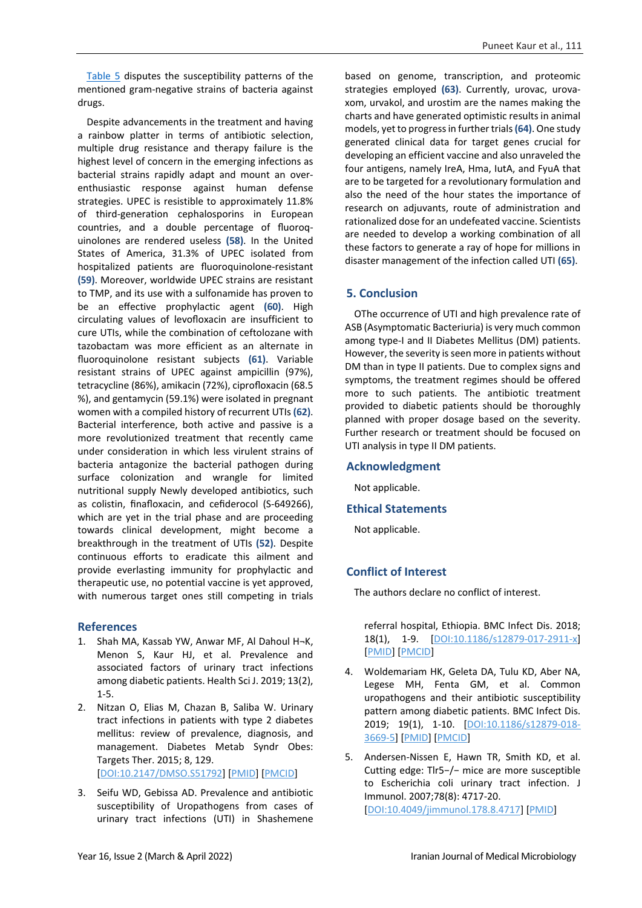[Table 5](#page-12-0) disputes the susceptibility patterns of the mentioned gram-negative strains of bacteria against drugs.

Despite advancements in the treatment and having a rainbow platter in terms of antibiotic selection, multiple drug resistance and therapy failure is the highest level of concern in the emerging infections as bacterial strains rapidly adapt and mount an overenthusiastic response against human defense strategies. UPEC is resistible to approximately 11.8% of third-generation cephalosporins in European countries, and a double percentage of fluoroquinolones are rendered useless **(58)**. In the United States of America, 31.3% of UPEC isolated from hospitalized patients are fluoroquinolone-resistant **(59)**. Moreover, worldwide UPEC strains are resistant to TMP, and its use with a sulfonamide has proven to be an effective prophylactic agent **(60)**. High circulating values of levofloxacin are insufficient to cure UTIs, while the combination of ceftolozane with tazobactam was more efficient as an alternate in fluoroquinolone resistant subjects **(61)**. Variable resistant strains of UPEC against ampicillin (97%), tetracycline (86%), amikacin (72%), ciprofloxacin (68.5 %), and gentamycin (59.1%) were isolated in pregnant women with a compiled history of recurrent UTIs **(62)**. Bacterial interference, both active and passive is a more revolutionized treatment that recently came under consideration in which less virulent strains of bacteria antagonize the bacterial pathogen during surface colonization and wrangle for limited nutritional supply Newly developed antibiotics, such as colistin, finafloxacin, and cefiderocol (S-649266), which are yet in the trial phase and are proceeding towards clinical development, might become a breakthrough in the treatment of UTIs **(52)**. Despite continuous efforts to eradicate this ailment and provide everlasting immunity for prophylactic and therapeutic use, no potential vaccine is yet approved, with numerous target ones still competing in trials

# **References**

- 1. Shah MA, Kassab YW, Anwar MF, Al Dahoul H¬K, Menon S, Kaur HJ, et al. Prevalence and associated factors of urinary tract infections among diabetic patients. Health Sci J. 2019; 13(2), 1-5.
- 2. Nitzan O, Elias M, Chazan B, Saliba W. Urinary tract infections in patients with type 2 diabetes mellitus: review of prevalence, diagnosis, and management. Diabetes Metab Syndr Obes: Targets Ther. 2015; 8, 129. [\[DOI:10.2147/DMSO.S51792\]](https://doi.org/10.2147/DMSO.S51792) [\[PMID\]](https://www.ncbi.nlm.nih.gov/pubmed/25759592) [\[PMCID\]](http://www.ncbi.nlm.nih.gov/pmc/articles/PMC4346284)
- 3. Seifu WD, Gebissa AD. Prevalence and antibiotic susceptibility of Uropathogens from cases of urinary tract infections (UTI) in Shashemene

based on genome, transcription, and proteomic strategies employed **(63)**. Currently, urovac, urovaxom, urvakol, and urostim are the names making the charts and have generated optimistic results in animal models, yet to progress in further trials **(64)**. One study generated clinical data for target genes crucial for developing an efficient vaccine and also unraveled the four antigens, namely IreA, Hma, IutA, and FyuA that are to be targeted for a revolutionary formulation and also the need of the hour states the importance of research on adjuvants, route of administration and rationalized dose for an undefeated vaccine. Scientists are needed to develop a working combination of all these factors to generate a ray of hope for millions in disaster management of the infection called UTI **(65)**.

## **5. Conclusion**

OThe occurrence of UTI and high prevalence rate of ASB (Asymptomatic Bacteriuria) is very much common among type-I and II Diabetes Mellitus (DM) patients. However, the severity is seen more in patients without DM than in type II patients. Due to complex signs and symptoms, the treatment regimes should be offered more to such patients. The antibiotic treatment provided to diabetic patients should be thoroughly planned with proper dosage based on the severity. Further research or treatment should be focused on UTI analysis in type II DM patients.

### **Acknowledgment**

Not applicable.

### **Ethical Statements**

Not applicable.

# **Conflict of Interest**

The authors declare no conflict of interest.

referral hospital, Ethiopia. BMC Infect Dis. 2018; 18(1), 1-9. [\[DOI:10.1186/s12879-017-2911-x\]](https://doi.org/10.1186/s12879-017-2911-x) [\[PMID\]](https://www.ncbi.nlm.nih.gov/pubmed/29320984) [\[PMCID\]](http://www.ncbi.nlm.nih.gov/pmc/articles/PMC5763535)

- 4. Woldemariam HK, Geleta DA, Tulu KD, Aber NA, Legese MH, Fenta GM, et al. Common uropathogens and their antibiotic susceptibility pattern among diabetic patients. BMC Infect Dis. 2019; 19(1), 1-10. [\[DOI:10.1186/s12879-018-](https://doi.org/10.1186/s12879-018-3669-5) [3669-5\]](https://doi.org/10.1186/s12879-018-3669-5) [\[PMID\]](https://www.ncbi.nlm.nih.gov/pubmed/30630427) [\[PMCID\]](http://www.ncbi.nlm.nih.gov/pmc/articles/PMC6327582)
- 5. Andersen-Nissen E, Hawn TR, Smith KD, et al. Cutting edge: Tlr5−/− mice are more susceptible to Escherichia coli urinary tract infection. J Immunol. 2007;78(8): 4717-20. [\[DOI:10.4049/jimmunol.178.8.4717\]](https://doi.org/10.4049/jimmunol.178.8.4717) [\[PMID\]](https://www.ncbi.nlm.nih.gov/pubmed/17404249)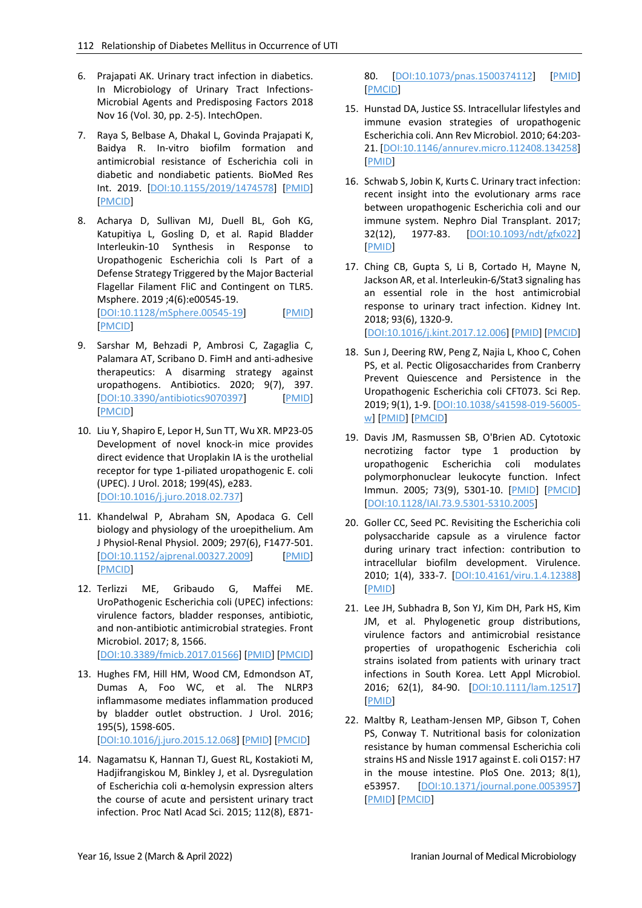- 6. Prajapati AK. Urinary tract infection in diabetics. In Microbiology of Urinary Tract Infections-Microbial Agents and Predisposing Factors 2018 Nov 16 (Vol. 30, pp. 2-5). IntechOpen.
- 7. Raya S, Belbase A, Dhakal L, Govinda Prajapati K, Baidya R. In-vitro biofilm formation and antimicrobial resistance of Escherichia coli in diabetic and nondiabetic patients. BioMed Res Int. 2019. [\[DOI:10.1155/2019/1474578\]](https://doi.org/10.1155/2019/1474578) [\[PMID\]](https://www.ncbi.nlm.nih.gov/pubmed/31641666) [\[PMCID\]](http://www.ncbi.nlm.nih.gov/pmc/articles/PMC6770373)
- 8. Acharya D, Sullivan MJ, Duell BL, Goh KG, Katupitiya L, Gosling D, et al. Rapid Bladder Interleukin-10 Synthesis in Response to Uropathogenic Escherichia coli Is Part of a Defense Strategy Triggered by the Major Bacterial Flagellar Filament FliC and Contingent on TLR5. Msphere. 2019 ;4(6):e00545-19. [\[DOI:10.1128/mSphere.00545-19\]](https://doi.org/10.1128/mSphere.00545-19) [\[PMID\]](https://www.ncbi.nlm.nih.gov/pubmed/31776239) [\[PMCID\]](http://www.ncbi.nlm.nih.gov/pmc/articles/PMC6881718)
- 9. Sarshar M, Behzadi P, Ambrosi C, Zagaglia C, Palamara AT, Scribano D. FimH and anti-adhesive therapeutics: A disarming strategy against uropathogens. Antibiotics. 2020; 9(7), 397. [\[DOI:10.3390/antibiotics9070397\]](https://doi.org/10.3390/antibiotics9070397) [\[PMID\]](https://www.ncbi.nlm.nih.gov/pubmed/32664222) [\[PMCID\]](http://www.ncbi.nlm.nih.gov/pmc/articles/PMC7400442)
- 10. Liu Y, Shapiro E, Lepor H, Sun TT, Wu XR. MP23-05 Development of novel knock-in mice provides direct evidence that Uroplakin IA is the urothelial receptor for type 1-piliated uropathogenic E. coli (UPEC). J Urol. 2018; 199(4S), e283. [\[DOI:10.1016/j.juro.2018.02.737\]](https://doi.org/10.1016/j.juro.2018.02.737)
- 11. Khandelwal P, Abraham SN, Apodaca G. Cell biology and physiology of the uroepithelium. Am J Physiol-Renal Physiol. 2009; 297(6), F1477-501. [\[DOI:10.1152/ajprenal.00327.2009\]](https://doi.org/10.1152/ajprenal.00327.2009) [\[PMID\]](https://www.ncbi.nlm.nih.gov/pubmed/19587142) [\[PMCID\]](http://www.ncbi.nlm.nih.gov/pmc/articles/PMC2801337)
- 12. Terlizzi ME, Gribaudo G, Maffei ME. UroPathogenic Escherichia coli (UPEC) infections: virulence factors, bladder responses, antibiotic, and non-antibiotic antimicrobial strategies. Front Microbiol. 2017; 8, 1566. [\[DOI:10.3389/fmicb.2017.01566\]](https://doi.org/10.3389/fmicb.2017.01566) [\[PMID\]](https://www.ncbi.nlm.nih.gov/pubmed/28861072) [\[PMCID\]](http://www.ncbi.nlm.nih.gov/pmc/articles/PMC5559502)
- 13. Hughes FM, Hill HM, Wood CM, Edmondson AT, Dumas A, Foo WC, et al. The NLRP3 inflammasome mediates inflammation produced by bladder outlet obstruction. J Urol. 2016; 195(5), 1598-605.

[\[DOI:10.1016/j.juro.2015.12.068\]](https://doi.org/10.1016/j.juro.2015.12.068) [\[PMID\]](https://www.ncbi.nlm.nih.gov/pubmed/26707508) [\[PMCID\]](http://www.ncbi.nlm.nih.gov/pmc/articles/PMC4870136)

14. Nagamatsu K, Hannan TJ, Guest RL, Kostakioti M, Hadjifrangiskou M, Binkley J, et al. Dysregulation of Escherichia coli α-hemolysin expression alters the course of acute and persistent urinary tract infection. Proc Natl Acad Sci. 2015; 112(8), E87180. [\[DOI:10.1073/pnas.1500374112\]](https://doi.org/10.1073/pnas.1500374112) [\[PMID\]](https://www.ncbi.nlm.nih.gov/pubmed/25675528) [\[PMCID\]](http://www.ncbi.nlm.nih.gov/pmc/articles/PMC4345586)

- 15. Hunstad DA, Justice SS. Intracellular lifestyles and immune evasion strategies of uropathogenic Escherichia coli. Ann Rev Microbiol. 2010; 64:203- 21. [\[DOI:10.1146/annurev.micro.112408.134258\]](https://doi.org/10.1146/annurev.micro.112408.134258) [\[PMID\]](https://www.ncbi.nlm.nih.gov/pubmed/20825346)
- 16. Schwab S, Jobin K, Kurts C. Urinary tract infection: recent insight into the evolutionary arms race between uropathogenic Escherichia coli and our immune system. Nephro Dial Transplant. 2017; 32(12), 1977-83. [\[DOI:10.1093/ndt/gfx022\]](https://doi.org/10.1093/ndt/gfx022) [\[PMID\]](https://www.ncbi.nlm.nih.gov/pubmed/28340252)
- 17. Ching CB, Gupta S, Li B, Cortado H, Mayne N, Jackson AR, et al. Interleukin-6/Stat3 signaling has an essential role in the host antimicrobial response to urinary tract infection. Kidney Int. 2018; 93(6), 1320-9. [\[DOI:10.1016/j.kint.2017.12.006\]](https://doi.org/10.1016/j.kint.2017.12.006) [\[PMID\]](https://www.ncbi.nlm.nih.gov/pubmed/29475562) [\[PMCID\]](http://www.ncbi.nlm.nih.gov/pmc/articles/PMC5967986)
- 18. Sun J, Deering RW, Peng Z, Najia L, Khoo C, Cohen PS, et al. Pectic Oligosaccharides from Cranberry Prevent Quiescence and Persistence in the Uropathogenic Escherichia coli CFT073. Sci Rep. 2019; 9(1), 1-9. [\[DOI:10.1038/s41598-019-56005](https://doi.org/10.1038/s41598-019-56005-w) [w\]](https://doi.org/10.1038/s41598-019-56005-w) [\[PMID\]](https://www.ncbi.nlm.nih.gov/pubmed/31862919) [\[PMCID\]](http://www.ncbi.nlm.nih.gov/pmc/articles/PMC6925298)
- 19. Davis JM, Rasmussen SB, O'Brien AD. Cytotoxic necrotizing factor type 1 production by uropathogenic Escherichia coli modulates polymorphonuclear leukocyte function. Infect Immun. 2005; 73(9), 5301-10. [\[PMID\]](https://www.ncbi.nlm.nih.gov/pubmed/16113245) [\[PMCID\]](http://www.ncbi.nlm.nih.gov/pmc/articles/PMC1231104) [\[DOI:10.1128/IAI.73.9.5301-5310.2005\]](https://doi.org/10.1128/IAI.73.9.5301-5310.2005)
- 20. Goller CC, Seed PC. Revisiting the Escherichia coli polysaccharide capsule as a virulence factor during urinary tract infection: contribution to intracellular biofilm development. Virulence. 2010; 1(4), 333-7. [\[DOI:10.4161/viru.1.4.12388\]](https://doi.org/10.4161/viru.1.4.12388) [\[PMID\]](https://www.ncbi.nlm.nih.gov/pubmed/21178466)
- 21. Lee JH, Subhadra B, Son YJ, Kim DH, Park HS, Kim JM, et al. Phylogenetic group distributions, virulence factors and antimicrobial resistance properties of uropathogenic Escherichia coli strains isolated from patients with urinary tract infections in South Korea. Lett Appl Microbiol. 2016; 62(1), 84-90. [\[DOI:10.1111/lam.12517\]](https://doi.org/10.1111/lam.12517) [\[PMID\]](https://www.ncbi.nlm.nih.gov/pubmed/26518617)
- 22. Maltby R, Leatham-Jensen MP, Gibson T, Cohen PS, Conway T. Nutritional basis for colonization resistance by human commensal Escherichia coli strains HS and Nissle 1917 against E. coli O157: H7 in the mouse intestine. PloS One. 2013; 8(1), e53957. [\[DOI:10.1371/journal.pone.0053957\]](https://doi.org/10.1371/journal.pone.0053957) [\[PMID\]](https://www.ncbi.nlm.nih.gov/pubmed/23349773) [\[PMCID\]](http://www.ncbi.nlm.nih.gov/pmc/articles/PMC3547972)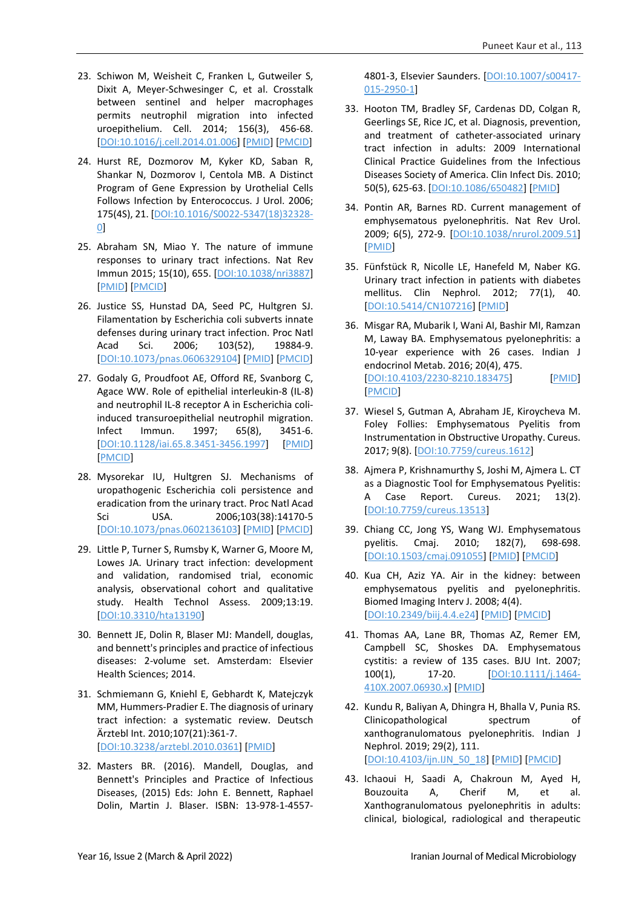- 23. Schiwon M, Weisheit C, Franken L, Gutweiler S, Dixit A, Meyer-Schwesinger C, et al. Crosstalk between sentinel and helper macrophages permits neutrophil migration into infected uroepithelium. Cell. 2014; 156(3), 456-68. [\[DOI:10.1016/j.cell.2014.01.006\]](https://doi.org/10.1016/j.cell.2014.01.006) [\[PMID\]](https://www.ncbi.nlm.nih.gov/pubmed/24485454) [\[PMCID\]](http://www.ncbi.nlm.nih.gov/pmc/articles/PMC4258064)
- 24. Hurst RE, Dozmorov M, Kyker KD, Saban R, Shankar N, Dozmorov I, Centola MB. A Distinct Program of Gene Expression by Urothelial Cells Follows Infection by Enterococcus. J Urol. 2006; 175(4S), 21. [\[DOI:10.1016/S0022-5347\(18\)32328-](https://doi.org/10.1016/S0022-5347(18)32328-0) [0\]](https://doi.org/10.1016/S0022-5347(18)32328-0)
- 25. Abraham SN, Miao Y. The nature of immune responses to urinary tract infections. Nat Rev Immun 2015; 15(10), 655. [\[DOI:10.1038/nri3887\]](https://doi.org/10.1038/nri3887) [\[PMID\]](https://www.ncbi.nlm.nih.gov/pubmed/26388331) [\[PMCID\]](http://www.ncbi.nlm.nih.gov/pmc/articles/PMC4926313)
- 26. Justice SS, Hunstad DA, Seed PC, Hultgren SJ. Filamentation by Escherichia coli subverts innate defenses during urinary tract infection. Proc Natl Acad Sci. 2006; 103(52), 19884-9. [\[DOI:10.1073/pnas.0606329104\]](https://doi.org/10.1073/pnas.0606329104) [\[PMID\]](https://www.ncbi.nlm.nih.gov/pubmed/17172451) [\[PMCID\]](http://www.ncbi.nlm.nih.gov/pmc/articles/PMC1750882)
- 27. Godaly G, Proudfoot AE, Offord RE, Svanborg C, Agace WW. Role of epithelial interleukin-8 (IL-8) and neutrophil IL-8 receptor A in Escherichia coliinduced transuroepithelial neutrophil migration. Infect Immun. 1997; 65(8), 3451-6. [\[DOI:10.1128/iai.65.8.3451-3456.1997\]](https://doi.org/10.1128/iai.65.8.3451-3456.1997) [\[PMID\]](https://www.ncbi.nlm.nih.gov/pubmed/9234811) [\[PMCID\]](http://www.ncbi.nlm.nih.gov/pmc/articles/PMC175488)
- 28. Mysorekar IU, Hultgren SJ. Mechanisms of uropathogenic Escherichia coli persistence and eradication from the urinary tract. Proc Natl Acad Sci USA. 2006;103(38):14170-5 [\[DOI:10.1073/pnas.0602136103\]](https://doi.org/10.1073/pnas.0602136103) [\[PMID\]](https://www.ncbi.nlm.nih.gov/pubmed/16968784) [\[PMCID\]](http://www.ncbi.nlm.nih.gov/pmc/articles/PMC1564066)
- 29. Little P, Turner S, Rumsby K, Warner G, Moore M, Lowes JA. Urinary tract infection: development and validation, randomised trial, economic analysis, observational cohort and qualitative study. Health Technol Assess. 2009;13:19. [\[DOI:10.3310/hta13190\]](https://doi.org/10.3310/hta13190)
- 30. Bennett JE, Dolin R, Blaser MJ: Mandell, douglas, and bennett's principles and practice of infectious diseases: 2-volume set. Amsterdam: Elsevier Health Sciences; 2014.
- 31. Schmiemann G, Kniehl E, Gebhardt K, Matejczyk MM, Hummers-Pradier E. The diagnosis of urinary tract infection: a systematic review. Deutsch Ärztebl Int. 2010;107(21):361-7. [\[DOI:10.3238/arztebl.2010.0361\]](https://doi.org/10.3238/arztebl.2010.0361) [\[PMID\]](https://www.ncbi.nlm.nih.gov/pubmed/20539810)
- 32. Masters BR. (2016). Mandell, Douglas, and Bennett's Principles and Practice of Infectious Diseases, (2015) Eds: John E. Bennett, Raphael Dolin, Martin J. Blaser. ISBN: 13-978-1-4557-

4801-3, Elsevier Saunders. [\[DOI:10.1007/s00417-](https://doi.org/10.1007/s00417-015-2950-1) [015-2950-1\]](https://doi.org/10.1007/s00417-015-2950-1)

- 33. Hooton TM, Bradley SF, Cardenas DD, Colgan R, Geerlings SE, Rice JC, et al. Diagnosis, prevention, and treatment of catheter-associated urinary tract infection in adults: 2009 International Clinical Practice Guidelines from the Infectious Diseases Society of America. Clin Infect Dis. 2010; 50(5), 625-63. [\[DOI:10.1086/650482\]](https://doi.org/10.1086/650482) [\[PMID\]](https://www.ncbi.nlm.nih.gov/pubmed/20175247)
- 34. Pontin AR, Barnes RD. Current management of emphysematous pyelonephritis. Nat Rev Urol. 2009; 6(5), 272-9. [\[DOI:10.1038/nrurol.2009.51\]](https://doi.org/10.1038/nrurol.2009.51) [\[PMID\]](https://www.ncbi.nlm.nih.gov/pubmed/19424175)
- 35. Fünfstück R, Nicolle LE, Hanefeld M, Naber KG. Urinary tract infection in patients with diabetes mellitus. Clin Nephrol. 2012; 77(1), 40. [\[DOI:10.5414/CN107216\]](https://doi.org/10.5414/CN107216) [\[PMID\]](https://www.ncbi.nlm.nih.gov/pubmed/22185967)
- 36. Misgar RA, Mubarik I, Wani AI, Bashir MI, Ramzan M, Laway BA. Emphysematous pyelonephritis: a 10-year experience with 26 cases. Indian J endocrinol Metab. 2016; 20(4), 475. [\[DOI:10.4103/2230-8210.183475\]](https://doi.org/10.4103/2230-8210.183475) [\[PMID\]](https://www.ncbi.nlm.nih.gov/pubmed/27366713) [\[PMCID\]](http://www.ncbi.nlm.nih.gov/pmc/articles/PMC4911836)
- 37. Wiesel S, Gutman A, Abraham JE, Kiroycheva M. Foley Follies: Emphysematous Pyelitis from Instrumentation in Obstructive Uropathy. Cureus. 2017; 9(8). [\[DOI:10.7759/cureus.1612\]](https://doi.org/10.7759/cureus.1612)
- 38. Ajmera P, Krishnamurthy S, Joshi M, Ajmera L. CT as a Diagnostic Tool for Emphysematous Pyelitis: A Case Report. Cureus. 2021; 13(2). [\[DOI:10.7759/cureus.13513\]](https://doi.org/10.7759/cureus.13513)
- 39. Chiang CC, Jong YS, Wang WJ. Emphysematous pyelitis. Cmaj. 2010; 182(7), 698-698. [\[DOI:10.1503/cmaj.091055\]](https://doi.org/10.1503/cmaj.091055) [\[PMID\]](https://www.ncbi.nlm.nih.gov/pubmed/20231336) [\[PMCID\]](http://www.ncbi.nlm.nih.gov/pmc/articles/PMC2855919)
- 40. Kua CH, Aziz YA. Air in the kidney: between emphysematous pyelitis and pyelonephritis. Biomed Imaging Interv J. 2008; 4(4). [\[DOI:10.2349/biij.4.4.e24\]](https://doi.org/10.2349/biij.4.4.e24) [\[PMID\]](https://www.ncbi.nlm.nih.gov/pubmed/21611013) [\[PMCID\]](http://www.ncbi.nlm.nih.gov/pmc/articles/PMC3097740)
- 41. Thomas AA, Lane BR, Thomas AZ, Remer EM, Campbell SC, Shoskes DA. Emphysematous cystitis: a review of 135 cases. BJU Int. 2007; 100(1), 17-20. [\[DOI:10.1111/j.1464-](https://doi.org/10.1111/j.1464-410X.2007.06930.x) [410X.2007.06930.x\]](https://doi.org/10.1111/j.1464-410X.2007.06930.x) [\[PMID\]](https://www.ncbi.nlm.nih.gov/pubmed/17506870)
- 42. Kundu R, Baliyan A, Dhingra H, Bhalla V, Punia RS. Clinicopathological spectrum of xanthogranulomatous pyelonephritis. Indian J Nephrol. 2019; 29(2), 111. [\[DOI:10.4103/ijn.IJN\\_50\\_18\]](https://doi.org/10.4103/ijn.IJN_50_18) [\[PMID\]](https://www.ncbi.nlm.nih.gov/pubmed/30983751) [\[PMCID\]](http://www.ncbi.nlm.nih.gov/pmc/articles/PMC6440323)
- 43. Ichaoui H, Saadi A, Chakroun M, Ayed H, Bouzouita A, Cherif M, et al. Xanthogranulomatous pyelonephritis in adults: clinical, biological, radiological and therapeutic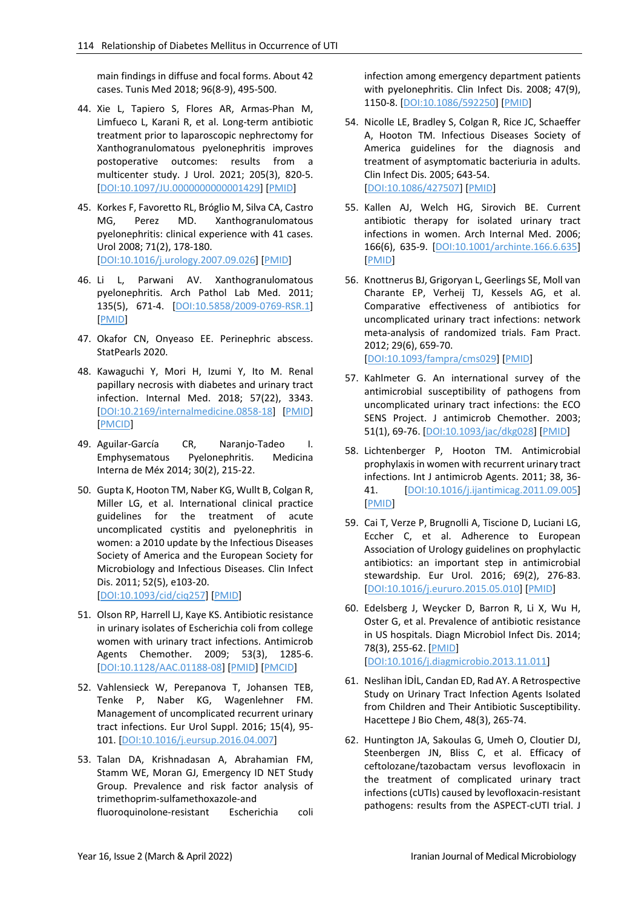main findings in diffuse and focal forms. About 42 cases. Tunis Med 2018; 96(8-9), 495-500.

- 44. Xie L, Tapiero S, Flores AR, Armas-Phan M, Limfueco L, Karani R, et al. Long-term antibiotic treatment prior to laparoscopic nephrectomy for Xanthogranulomatous pyelonephritis improves postoperative outcomes: results from a multicenter study. J Urol. 2021; 205(3), 820-5. [\[DOI:10.1097/JU.0000000000001429\]](https://doi.org/10.1097/JU.0000000000001429) [\[PMID\]](https://www.ncbi.nlm.nih.gov/pubmed/33080147)
- 45. Korkes F, Favoretto RL, Bróglio M, Silva CA, Castro MG, Perez MD. Xanthogranulomatous pyelonephritis: clinical experience with 41 cases. Urol 2008; 71(2), 178-180. [\[DOI:10.1016/j.urology.2007.09.026\]](https://doi.org/10.1016/j.urology.2007.09.026) [\[PMID\]](https://www.ncbi.nlm.nih.gov/pubmed/18308077)
- 46. Li L, Parwani AV. Xanthogranulomatous pyelonephritis. Arch Pathol Lab Med. 2011; 135(5), 671-4. [\[DOI:10.5858/2009-0769-RSR.1\]](https://doi.org/10.5858/2009-0769-RSR.1) [\[PMID\]](https://www.ncbi.nlm.nih.gov/pubmed/21526966)
- 47. Okafor CN, Onyeaso EE. Perinephric abscess. StatPearls 2020.
- 48. Kawaguchi Y, Mori H, Izumi Y, Ito M. Renal papillary necrosis with diabetes and urinary tract infection. Internal Med. 2018; 57(22), 3343. [\[DOI:10.2169/internalmedicine.0858-18\]](https://doi.org/10.2169/internalmedicine.0858-18) [\[PMID\]](https://www.ncbi.nlm.nih.gov/pubmed/29984778) [\[PMCID\]](http://www.ncbi.nlm.nih.gov/pmc/articles/PMC6288002)
- 49. Aguilar-García CR, Naranjo-Tadeo I. Emphysematous Pyelonephritis. Medicina Interna de Méx 2014; 30(2), 215-22.
- 50. Gupta K, Hooton TM, Naber KG, Wullt B, Colgan R, Miller LG, et al. International clinical practice guidelines for the treatment of acute uncomplicated cystitis and pyelonephritis in women: a 2010 update by the Infectious Diseases Society of America and the European Society for Microbiology and Infectious Diseases. Clin Infect Dis. 2011; 52(5), e103-20. [\[DOI:10.1093/cid/ciq257\]](https://doi.org/10.1093/cid/ciq257) [\[PMID\]](https://www.ncbi.nlm.nih.gov/pubmed/21292654)
- 51. Olson RP, Harrell LJ, Kaye KS. Antibiotic resistance in urinary isolates of Escherichia coli from college women with urinary tract infections. Antimicrob Agents Chemother. 2009; 53(3), 1285-6. [\[DOI:10.1128/AAC.01188-08\]](https://doi.org/10.1128/AAC.01188-08) [\[PMID\]](https://www.ncbi.nlm.nih.gov/pubmed/19104022) [\[PMCID\]](http://www.ncbi.nlm.nih.gov/pmc/articles/PMC2650563)
- 52. Vahlensieck W, Perepanova T, Johansen TEB, Tenke P, Naber KG, Wagenlehner FM. Management of uncomplicated recurrent urinary tract infections. Eur Urol Suppl. 2016; 15(4), 95- 101. [\[DOI:10.1016/j.eursup.2016.04.007\]](https://doi.org/10.1016/j.eursup.2016.04.007)
- 53. Talan DA, Krishnadasan A, Abrahamian FM, Stamm WE, Moran GJ, Emergency ID NET Study Group. Prevalence and risk factor analysis of trimethoprim-sulfamethoxazole-and fluoroquinolone-resistant Escherichia coli

infection among emergency department patients with pyelonephritis. Clin Infect Dis. 2008; 47(9), 1150-8. [\[DOI:10.1086/592250\]](https://doi.org/10.1086/592250) [\[PMID\]](https://www.ncbi.nlm.nih.gov/pubmed/18808361)

- 54. Nicolle LE, Bradley S, Colgan R, Rice JC, Schaeffer A, Hooton TM. Infectious Diseases Society of America guidelines for the diagnosis and treatment of asymptomatic bacteriuria in adults. Clin Infect Dis. 2005; 643-54. [\[DOI:10.1086/427507\]](https://doi.org/10.1086/427507) [\[PMID\]](https://www.ncbi.nlm.nih.gov/pubmed/15714408)
- 55. Kallen AJ, Welch HG, Sirovich BE. Current antibiotic therapy for isolated urinary tract infections in women. Arch Internal Med. 2006; 166(6), 635-9. [\[DOI:10.1001/archinte.166.6.635\]](https://doi.org/10.1001/archinte.166.6.635) [\[PMID\]](https://www.ncbi.nlm.nih.gov/pubmed/16567602)
- 56. Knottnerus BJ, Grigoryan L, Geerlings SE, Moll van Charante EP, Verheij TJ, Kessels AG, et al. Comparative effectiveness of antibiotics for uncomplicated urinary tract infections: network meta-analysis of randomized trials. Fam Pract. 2012; 29(6), 659-70. [\[DOI:10.1093/fampra/cms029\]](https://doi.org/10.1093/fampra/cms029) [\[PMID\]](https://www.ncbi.nlm.nih.gov/pubmed/22516128)
- 57. Kahlmeter G. An international survey of the antimicrobial susceptibility of pathogens from uncomplicated urinary tract infections: the ECO SENS Project. J antimicrob Chemother. 2003; 51(1), 69-76. [\[DOI:10.1093/jac/dkg028\]](https://doi.org/10.1093/jac/dkg028) [\[PMID\]](https://www.ncbi.nlm.nih.gov/pubmed/12493789)
- 58. Lichtenberger P, Hooton TM. Antimicrobial prophylaxis in women with recurrent urinary tract infections. Int J antimicrob Agents. 2011; 38, 36- 41. [\[DOI:10.1016/j.ijantimicag.2011.09.005\]](https://doi.org/10.1016/j.ijantimicag.2011.09.005) [\[PMID\]](https://www.ncbi.nlm.nih.gov/pubmed/22055655)
- 59. Cai T, Verze P, Brugnolli A, Tiscione D, Luciani LG, Eccher C, et al. Adherence to European Association of Urology guidelines on prophylactic antibiotics: an important step in antimicrobial stewardship. Eur Urol. 2016; 69(2), 276-83. [\[DOI:10.1016/j.eururo.2015.05.010\]](https://doi.org/10.1016/j.eururo.2015.05.010) [\[PMID\]](https://www.ncbi.nlm.nih.gov/pubmed/26001610)
- 60. Edelsberg J, Weycker D, Barron R, Li X, Wu H, Oster G, et al. Prevalence of antibiotic resistance in US hospitals. Diagn Microbiol Infect Dis. 2014; 78(3), 255-62. [\[PMID\]](https://www.ncbi.nlm.nih.gov/pubmed/24360267) [\[DOI:10.1016/j.diagmicrobio.2013.11.011\]](https://doi.org/10.1016/j.diagmicrobio.2013.11.011)
- 61. Neslihan İDİL, Candan ED, Rad AY. A Retrospective Study on Urinary Tract Infection Agents Isolated from Children and Their Antibiotic Susceptibility. Hacettepe J Bio Chem, 48(3), 265-74.
- 62. Huntington JA, Sakoulas G, Umeh O, Cloutier DJ, Steenbergen JN, Bliss C, et al. Efficacy of ceftolozane/tazobactam versus levofloxacin in the treatment of complicated urinary tract infections (cUTIs) caused by levofloxacin-resistant pathogens: results from the ASPECT-cUTI trial. J